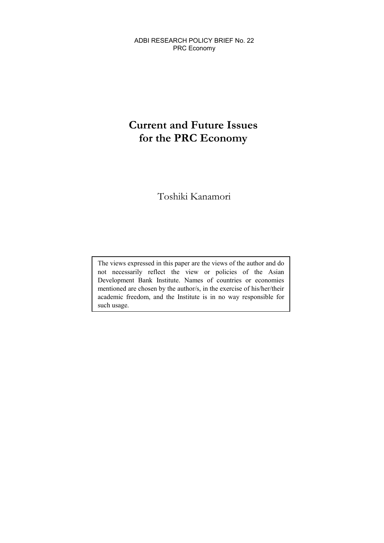ADBI RESEARCH POLICY BRIEF No. 22 PRC Economy

# **Current and Future Issues for the PRC Economy**

Toshiki Kanamori

The views expressed in this paper are the views of the author and do not necessarily reflect the view or policies of the Asian Development Bank Institute. Names of countries or economies mentioned are chosen by the author/s, in the exercise of his/her/their academic freedom, and the Institute is in no way responsible for such usage.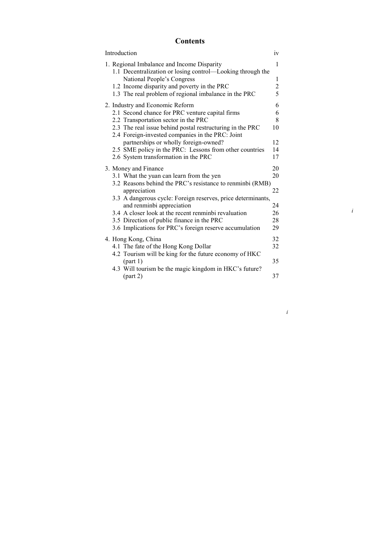# **Contents**

|  | Introduction                                                                                                  | iv             |
|--|---------------------------------------------------------------------------------------------------------------|----------------|
|  | 1. Regional Imbalance and Income Disparity<br>1.1 Decentralization or losing control—Looking through the      | 1              |
|  | National People's Congress                                                                                    | 1              |
|  | 1.2 Income disparity and poverty in the PRC                                                                   | $\overline{c}$ |
|  | 1.3 The real problem of regional imbalance in the PRC                                                         | 5              |
|  | 2. Industry and Economic Reform                                                                               | 6              |
|  | 2.1 Second chance for PRC venture capital firms                                                               | 6              |
|  | 2.2 Transportation sector in the PRC                                                                          | 8              |
|  | 2.3 The real issue behind postal restructuring in the PRC<br>2.4 Foreign-invested companies in the PRC: Joint | 10             |
|  | partnerships or wholly foreign-owned?                                                                         | 12             |
|  | 2.5 SME policy in the PRC: Lessons from other countries                                                       | 14             |
|  | 2.6 System transformation in the PRC                                                                          | 17             |
|  | 3. Money and Finance                                                                                          | 20             |
|  | 3.1 What the yuan can learn from the yen                                                                      | 20             |
|  | 3.2 Reasons behind the PRC's resistance to renminbi (RMB)                                                     |                |
|  | appreciation                                                                                                  | 22             |
|  | 3.3 A dangerous cycle: Foreign reserves, price determinants,                                                  |                |
|  | and renminbi appreciation                                                                                     | 24             |
|  | 3.4 A closer look at the recent renminbi revaluation                                                          | 26             |
|  | 3.5 Direction of public finance in the PRC                                                                    | 28             |
|  | 3.6 Implications for PRC's foreign reserve accumulation                                                       | 29             |
|  | 4. Hong Kong, China                                                                                           | 32             |
|  | 4.1 The fate of the Hong Kong Dollar                                                                          | 32             |
|  | 4.2 Tourism will be king for the future economy of HKC                                                        |                |
|  | (part 1)                                                                                                      | 35             |
|  | 4.3 Will tourism be the magic kingdom in HKC's future?                                                        |                |
|  |                                                                                                               | 37             |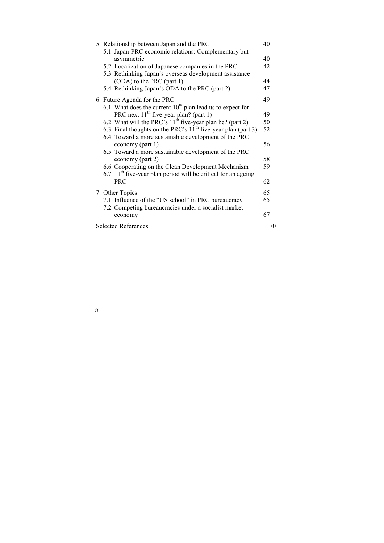|  | <b>Selected References</b>                                                                                  | 70 |
|--|-------------------------------------------------------------------------------------------------------------|----|
|  | economy                                                                                                     | 67 |
|  | 7.1 Influence of the "US school" in PRC bureaucracy<br>7.2 Competing bureaucracies under a socialist market | 65 |
|  | 7. Other Topics                                                                                             | 65 |
|  | <b>PRC</b>                                                                                                  | 62 |
|  | $6.7$ 11 <sup>th</sup> five-year plan period will be critical for an ageing                                 |    |
|  | 6.6 Cooperating on the Clean Development Mechanism                                                          | 59 |
|  | 6.5 Toward a more sustainable development of the PRC<br>economy (part 2)                                    | 58 |
|  | economy (part 1)                                                                                            | 56 |
|  | 6.4 Toward a more sustainable development of the PRC                                                        |    |
|  | 6.3 Final thoughts on the PRC's $11th$ five-year plan (part 3)                                              | 52 |
|  | 6.2 What will the PRC's $11th$ five-year plan be? (part 2)                                                  | 50 |
|  | PRC next $11th$ five-year plan? (part 1)                                                                    | 49 |
|  | 6. Future Agenda for the PRC<br>6.1 What does the current $10^{th}$ plan lead us to expect for              |    |
|  |                                                                                                             | 49 |
|  | 5.4 Rethinking Japan's ODA to the PRC (part 2)                                                              | 47 |
|  | (ODA) to the PRC (part 1)                                                                                   | 44 |
|  | 5.3 Rethinking Japan's overseas development assistance                                                      |    |
|  | 5.2 Localization of Japanese companies in the PRC                                                           | 42 |
|  | asymmetric                                                                                                  | 40 |
|  | 5.1 Japan-PRC economic relations: Complementary but                                                         |    |
|  | 5. Relationship between Japan and the PRC                                                                   | 40 |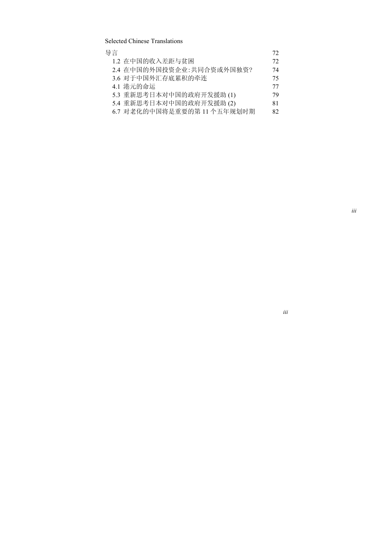Selected Chinese Translations

| 导言                        | 72 |
|---------------------------|----|
| 1.2 在中国的收入差距与贫困           | 72 |
| 2.4 在中国的外国投资企业:共同合资或外国独资? | 74 |
| 3.6 对于中国外汇存底累积的牵连         | 75 |
| 4.1 港元的命运                 | 77 |
| 5.3 重新思考日本对中国的政府开发援助(1)   | 79 |
| 5.4 重新思考日本对中国的政府开发援助(2)   | 81 |
| 6.7 对老化的中国将是重要的第11个五年规划时期 | 82 |
|                           |    |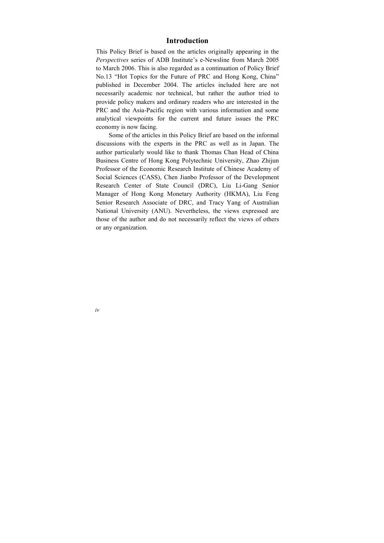# **Introduction**

<span id="page-4-0"></span>This Policy Brief is based on the articles originally appearing in the *Perspectives* series of ADB Institute's e-Newsline from March 2005 to March 2006. This is also regarded as a continuation of Policy Brief No.13 "Hot Topics for the Future of PRC and Hong Kong, China" published in December 2004. The articles included here are not necessarily academic nor technical, but rather the author tried to provide policy makers and ordinary readers who are interested in the PRC and the Asia-Pacific region with various information and some analytical viewpoints for the current and future issues the PRC economy is now facing.

Some of the articles in this Policy Brief are based on the informal discussions with the experts in the PRC as well as in Japan. The author particularly would like to thank Thomas Chan Head of China Business Centre of Hong Kong Polytechnic University, Zhao Zhijun Professor of the Economic Research Institute of Chinese Academy of Social Sciences (CASS), Chen Jianbo Professor of the Development Research Center of State Council (DRC), Liu Li-Gang Senior Manager of Hong Kong Monetary Authority (HKMA), Liu Feng Senior Research Associate of DRC, and Tracy Yang of Australian National University (ANU). Nevertheless, the views expressed are those of the author and do not necessarily reflect the views of others or any organization.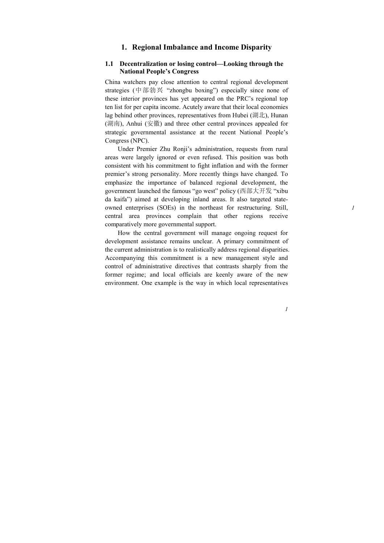# **1. Regional Imbalance and Income Disparity**

#### <span id="page-5-0"></span>**1.1 Decentralization or losing control—Looking through the National People's Congress**

China watchers pay close attention to central regional development strategies (中部勃兴 "zhongbu boxing") especially since none of these interior provinces has yet appeared on the PRC's regional top ten list for per capita income. Acutely aware that their local economies lag behind other provinces, representatives from Hubei (湖北), Hunan (湖南), Anhui (安徽) and three other central provinces appealed for strategic governmental assistance at the recent National People's Congress (NPC).

Under Premier Zhu Ronji's administration, requests from rural areas were largely ignored or even refused. This position was both consistent with his commitment to fight inflation and with the former premier's strong personality. More recently things have changed. To emphasize the importance of balanced regional development, the government launched the famous "go west" policy (西部大开发 "xibu da kaifa") aimed at developing inland areas. It also targeted stateowned enterprises (SOEs) in the northeast for restructuring. Still, central area provinces complain that other regions receive comparatively more governmental support.

How the central government will manage ongoing request for development assistance remains unclear. A primary commitment of the current administration is to realistically address regional disparities. Accompanying this commitment is a new management style and control of administrative directives that contrasts sharply from the former regime; and local officials are keenly aware of the new environment. One example is the way in which local representatives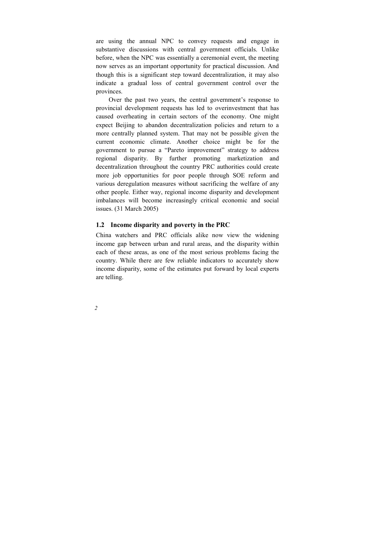<span id="page-6-0"></span>are using the annual NPC to convey requests and engage in substantive discussions with central government officials. Unlike before, when the NPC was essentially a ceremonial event, the meeting now serves as an important opportunity for practical discussion. And though this is a significant step toward decentralization, it may also indicate a gradual loss of central government control over the provinces.

Over the past two years, the central government's response to provincial development requests has led to overinvestment that has caused overheating in certain sectors of the economy. One might expect Beijing to abandon decentralization policies and return to a more centrally planned system. That may not be possible given the current economic climate. Another choice might be for the government to pursue a "Pareto improvement" strategy to address regional disparity. By further promoting marketization and decentralization throughout the country PRC authorities could create more job opportunities for poor people through SOE reform and various deregulation measures without sacrificing the welfare of any other people. Either way, regional income disparity and development imbalances will become increasingly critical economic and social issues. (31 March 2005)

#### **1.2 Income disparity and poverty in the PRC**

China watchers and PRC officials alike now view the widening income gap between urban and rural areas, and the disparity within each of these areas, as one of the most serious problems facing the country. While there are few reliable indicators to accurately show income disparity, some of the estimates put forward by local experts are telling.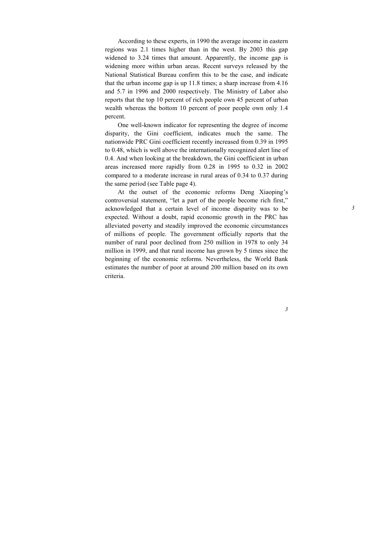According to these experts, in 1990 the average income in eastern regions was 2.1 times higher than in the west. By 2003 this gap widened to 3.24 times that amount. Apparently, the income gap is widening more within urban areas. Recent surveys released by the National Statistical Bureau confirm this to be the case, and indicate that the urban income gap is up 11.8 times; a sharp increase from 4.16 and 5.7 in 1996 and 2000 respectively. The Ministry of Labor also reports that the top 10 percent of rich people own 45 percent of urban wealth whereas the bottom 10 percent of poor people own only 1.4 percent.

One well-known indicator for representing the degree of income disparity, the Gini coefficient, indicates much the same. The nationwide PRC Gini coefficient recently increased from 0.39 in 1995 to 0.48, which is well above the internationally recognized alert line of 0.4. And when looking at the breakdown, the Gini coefficient in urban areas increased more rapidly from 0.28 in 1995 to 0.32 in 2002 compared to a moderate increase in rural areas of 0.34 to 0.37 during the same period (see Table page 4).

At the outset of the economic reforms Deng Xiaoping's controversial statement, "let a part of the people become rich first," acknowledged that a certain level of income disparity was to be expected. Without a doubt, rapid economic growth in the PRC has alleviated poverty and steadily improved the economic circumstances of millions of people. The government officially reports that the number of rural poor declined from 250 million in 1978 to only 34 million in 1999, and that rural income has grown by 5 times since the beginning of the economic reforms. Nevertheless, the World Bank estimates the number of poor at around 200 million based on its own criteria.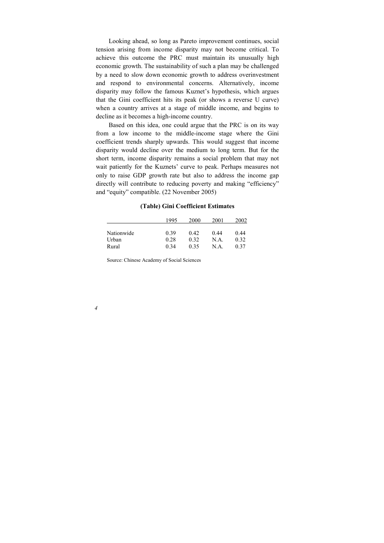Looking ahead, so long as Pareto improvement continues, social tension arising from income disparity may not become critical. To achieve this outcome the PRC must maintain its unusually high economic growth. The sustainability of such a plan may be challenged by a need to slow down economic growth to address overinvestment and respond to environmental concerns. Alternatively, income disparity may follow the famous Kuznet's hypothesis, which argues that the Gini coefficient hits its peak (or shows a reverse U curve) when a country arrives at a stage of middle income, and begins to decline as it becomes a high-income country.

Based on this idea, one could argue that the PRC is on its way from a low income to the middle-income stage where the Gini coefficient trends sharply upwards. This would suggest that income disparity would decline over the medium to long term. But for the short term, income disparity remains a social problem that may not wait patiently for the Kuznets' curve to peak. Perhaps measures not only to raise GDP growth rate but also to address the income gap directly will contribute to reducing poverty and making "efficiency" and "equity" compatible. (22 November 2005)

|            | 1995 | 2000 | 2001 | 2002 |
|------------|------|------|------|------|
|            |      |      |      |      |
| Nationwide | 0.39 | 0.42 | 0.44 | 0.44 |
| Urban      | 0.28 | 0.32 | N.A. | 0.32 |
| Rural      | 0.34 | 0.35 | N.A. | 0.37 |

#### **(Table) Gini Coefficient Estimates**

Source: Chinese Academy of Social Sciences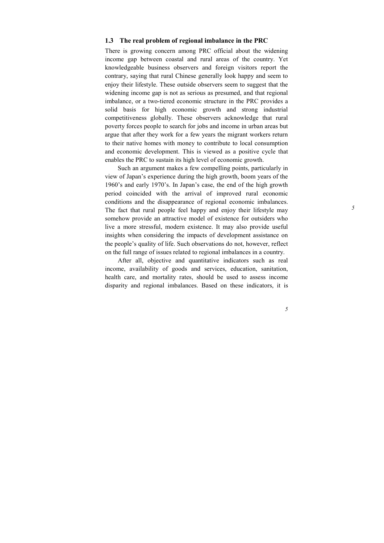## <span id="page-9-0"></span>**1.3 The real problem of regional imbalance in the PRC**

There is growing concern among PRC official about the widening income gap between coastal and rural areas of the country. Yet knowledgeable business observers and foreign visitors report the contrary, saying that rural Chinese generally look happy and seem to enjoy their lifestyle. These outside observers seem to suggest that the widening income gap is not as serious as presumed, and that regional imbalance, or a two-tiered economic structure in the PRC provides a solid basis for high economic growth and strong industrial competitiveness globally. These observers acknowledge that rural poverty forces people to search for jobs and income in urban areas but argue that after they work for a few years the migrant workers return to their native homes with money to contribute to local consumption and economic development. This is viewed as a positive cycle that enables the PRC to sustain its high level of economic growth.

Such an argument makes a few compelling points, particularly in view of Japan's experience during the high growth, boom years of the 1960's and early 1970's. In Japan's case, the end of the high growth period coincided with the arrival of improved rural economic conditions and the disappearance of regional economic imbalances. The fact that rural people feel happy and enjoy their lifestyle may somehow provide an attractive model of existence for outsiders who live a more stressful, modern existence. It may also provide useful insights when considering the impacts of development assistance on the people's quality of life. Such observations do not, however, reflect on the full range of issues related to regional imbalances in a country.

After all, objective and quantitative indicators such as real income, availability of goods and services, education, sanitation, health care, and mortality rates, should be used to assess income disparity and regional imbalances. Based on these indicators, it is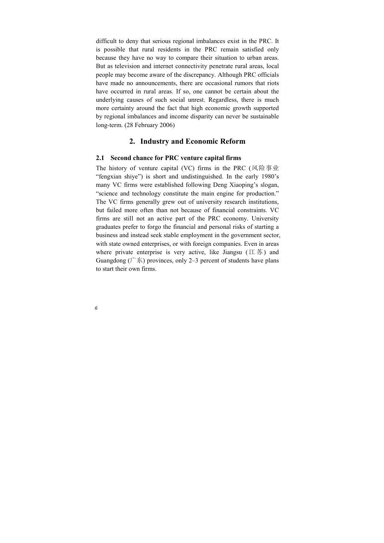<span id="page-10-0"></span>difficult to deny that serious regional imbalances exist in the PRC. It is possible that rural residents in the PRC remain satisfied only because they have no way to compare their situation to urban areas. But as television and internet connectivity penetrate rural areas, local people may become aware of the discrepancy. Although PRC officials have made no announcements, there are occasional rumors that riots have occurred in rural areas. If so, one cannot be certain about the underlying causes of such social unrest. Regardless, there is much more certainty around the fact that high economic growth supported by regional imbalances and income disparity can never be sustainable long-term. (28 February 2006)

## **2. Industry and Economic Reform**

#### **2.1 Second chance for PRC venture capital firms**

The history of venture capital (VC) firms in the PRC (风险事业 "fengxian shiye") is short and undistinguished. In the early 1980's many VC firms were established following Deng Xiaoping's slogan, "science and technology constitute the main engine for production." The VC firms generally grew out of university research institutions, but failed more often than not because of financial constraints. VC firms are still not an active part of the PRC economy. University graduates prefer to forgo the financial and personal risks of starting a business and instead seek stable employment in the government sector, with state owned enterprises, or with foreign companies. Even in areas where private enterprise is very active, like Jiangsu  $($  江苏) and Guangdong ( $\uparrow \pm \pm$ ) provinces, only 2–3 percent of students have plans to start their own firms.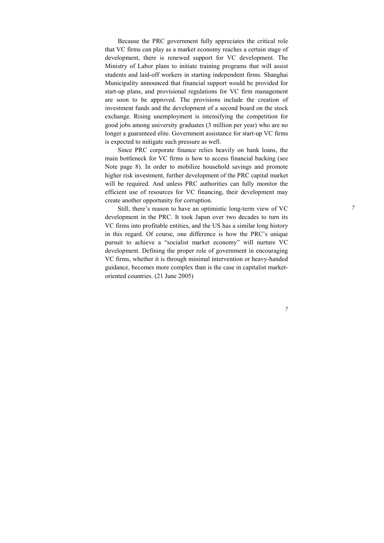Because the PRC government fully appreciates the critical role that VC firms can play as a market economy reaches a certain stage of development, there is renewed support for VC development. The Ministry of Labor plans to initiate training programs that will assist students and laid-off workers in starting independent firms. Shanghai Municipality announced that financial support would be provided for start-up plans, and provisional regulations for VC firm management are soon to be approved. The provisions include the creation of investment funds and the development of a second board on the stock exchange. Rising unemployment is intensifying the competition for good jobs among university graduates (3 million per year) who are no longer a guaranteed elite. Government assistance for start-up VC firms is expected to mitigate such pressure as well.

Since PRC corporate finance relies heavily on bank loans, the main bottleneck for VC firms is how to access financial backing (see Note page 8). In order to mobilize household savings and promote higher risk investment, further development of the PRC capital market will be required. And unless PRC authorities can fully monitor the efficient use of resources for VC financing, their development may create another opportunity for corruption.

Still, there's reason to have an optimistic long-term view of VC development in the PRC. It took Japan over two decades to turn its VC firms into profitable entities, and the US has a similar long history in this regard. Of course, one difference is how the PRC's unique pursuit to achieve a "socialist market economy" will nurture VC development. Defining the proper role of government in encouraging VC firms, whether it is through minimal intervention or heavy-handed guidance, becomes more complex than is the case in capitalist marketoriented countries. (21 June 2005)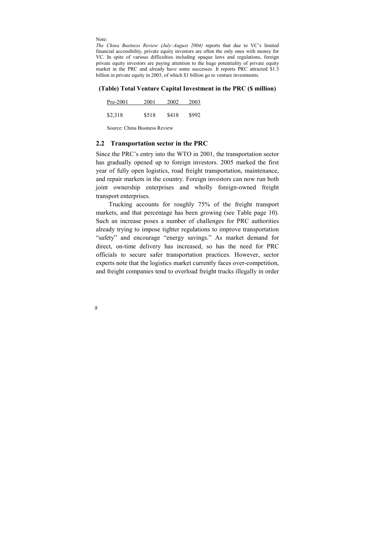<span id="page-12-0"></span>Note:

*The China Business Review (July–August 2004)* reports that due to VC's limited financial accessibility, private equity investors are often the only ones with money for VC. In spite of various difficulties including opaque laws and regulations, foreign private equity investors are paying attention to the huge potentiality of private equity market in the PRC and already have some successes. It reports PRC attracted \$1.3 billion in private equity in 2003, of which \$1 billion go to venture investments.

#### **(Table) Total Venture Capital Investment in the PRC (\$ million)**

| $Pre-2001$ | 2001  | 2002  | 2003  |
|------------|-------|-------|-------|
|            |       |       |       |
| \$2,318    | \$518 | \$418 | \$992 |

Source: China Business Review

#### **2.2 Transportation sector in the PRC**

Since the PRC's entry into the WTO in 2001, the transportation sector has gradually opened up to foreign investors. 2005 marked the first year of fully open logistics, road freight transportation, maintenance, and repair markets in the country. Foreign investors can now run both joint ownership enterprises and wholly foreign-owned freight transport enterprises.

Trucking accounts for roughly 75% of the freight transport markets, and that percentage has been growing (see Table page 10). Such an increase poses a number of challenges for PRC authorities already trying to impose tighter regulations to improve transportation "safety" and encourage "energy savings." As market demand for direct, on-time delivery has increased, so has the need for PRC officials to secure safer transportation practices. However, sector experts note that the logistics market currently faces over-competition, and freight companies tend to overload freight trucks illegally in order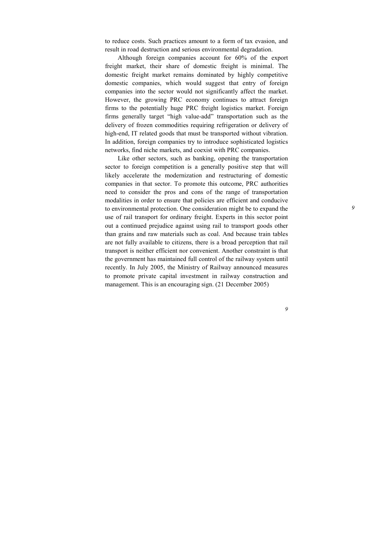to reduce costs. Such practices amount to a form of tax evasion, and result in road destruction and serious environmental degradation.

Although foreign companies account for 60% of the export freight market, their share of domestic freight is minimal. The domestic freight market remains dominated by highly competitive domestic companies, which would suggest that entry of foreign companies into the sector would not significantly affect the market. However, the growing PRC economy continues to attract foreign firms to the potentially huge PRC freight logistics market. Foreign firms generally target "high value-add" transportation such as the delivery of frozen commodities requiring refrigeration or delivery of high-end, IT related goods that must be transported without vibration. In addition, foreign companies try to introduce sophisticated logistics networks, find niche markets, and coexist with PRC companies.

Like other sectors, such as banking, opening the transportation sector to foreign competition is a generally positive step that will likely accelerate the modernization and restructuring of domestic companies in that sector. To promote this outcome, PRC authorities need to consider the pros and cons of the range of transportation modalities in order to ensure that policies are efficient and conducive to environmental protection. One consideration might be to expand the use of rail transport for ordinary freight. Experts in this sector point out a continued prejudice against using rail to transport goods other than grains and raw materials such as coal. And because train tables are not fully available to citizens, there is a broad perception that rail transport is neither efficient nor convenient. Another constraint is that the government has maintained full control of the railway system until recently. In July 2005, the Ministry of Railway announced measures to promote private capital investment in railway construction and management. This is an encouraging sign. (21 December 2005)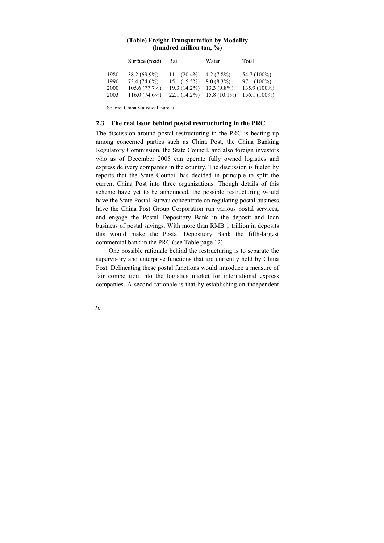<span id="page-14-0"></span>

|      | Surface (road)  | Rail           | Water          | Total          |
|------|-----------------|----------------|----------------|----------------|
| 1980 | $38.2(69.9\%)$  | $11.1(20.4\%)$ | $4.2(7.8\%)$   | 54.7 (100%)    |
| 1990 | 72.4 (74.6%)    | $15.1(15.5\%)$ | $8.0(8.3\%)$   | $97.1(100\%)$  |
| 2000 | 105.6 (77.7%)   | $19.3(14.2\%)$ | $13.3(9.8\%)$  | 135.9 (100%)   |
| 2003 | $116.0(74.6\%)$ | $22.1(14.2\%)$ | $15.8(10.1\%)$ | $156.1(100\%)$ |

#### **(Table) Freight Transportation by Modality (hundred million ton, %)**

Source: China Statistical Bureau

#### **2.3 The real issue behind postal restructuring in the PRC**

The discussion around postal restructuring in the PRC is heating up among concerned parties such as China Post, the China Banking Regulatory Commission, the State Council, and also foreign investors who as of December 2005 can operate fully owned logistics and express delivery companies in the country. The discussion is fueled by reports that the State Council has decided in principle to split the current China Post into three organizations. Though details of this scheme have yet to be announced, the possible restructuring would have the State Postal Bureau concentrate on regulating postal business, have the China Post Group Corporation run various postal services, and engage the Postal Depository Bank in the deposit and loan business of postal savings. With more than RMB 1 trillion in deposits this would make the Postal Depository Bank the fifth-largest commercial bank in the PRC (see Table page 12).

One possible rationale behind the restructuring is to separate the supervisory and enterprise functions that are currently held by China Post. Delineating these postal functions would introduce a measure of fair competition into the logistics market for international express companies. A second rationale is that by establishing an independent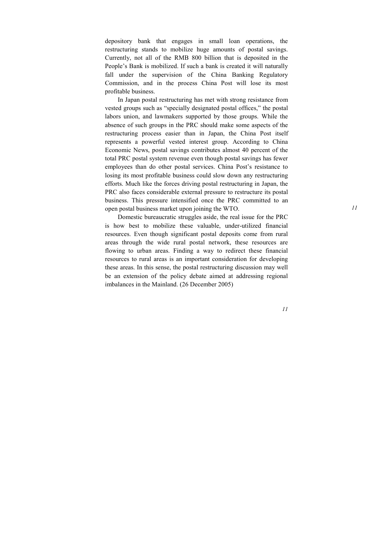depository bank that engages in small loan operations, the restructuring stands to mobilize huge amounts of postal savings. Currently, not all of the RMB 800 billion that is deposited in the People's Bank is mobilized. If such a bank is created it will naturally fall under the supervision of the China Banking Regulatory Commission, and in the process China Post will lose its most profitable business.

In Japan postal restructuring has met with strong resistance from vested groups such as "specially designated postal offices," the postal labors union, and lawmakers supported by those groups. While the absence of such groups in the PRC should make some aspects of the restructuring process easier than in Japan, the China Post itself represents a powerful vested interest group. According to China Economic News, postal savings contributes almost 40 percent of the total PRC postal system revenue even though postal savings has fewer employees than do other postal services. China Post's resistance to losing its most profitable business could slow down any restructuring efforts. Much like the forces driving postal restructuring in Japan, the PRC also faces considerable external pressure to restructure its postal business. This pressure intensified once the PRC committed to an open postal business market upon joining the WTO.

Domestic bureaucratic struggles aside, the real issue for the PRC is how best to mobilize these valuable, under-utilized financial resources. Even though significant postal deposits come from rural areas through the wide rural postal network, these resources are flowing to urban areas. Finding a way to redirect these financial resources to rural areas is an important consideration for developing these areas. In this sense, the postal restructuring discussion may well be an extension of the policy debate aimed at addressing regional imbalances in the Mainland. (26 December 2005)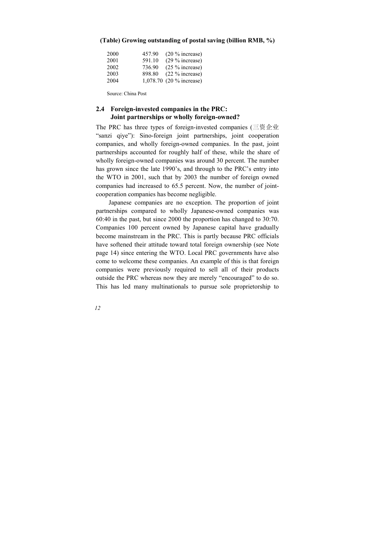| 2000 | 457.90 | $(20\%$ increase)        |
|------|--------|--------------------------|
| 2001 | 591.10 | $(29\%$ increase)        |
| 2002 | 736.90 | $(25\%$ increase)        |
| 2003 | 898.80 | $(22\%$ increase)        |
| 2004 |        | 1,078.70 (20 % increase) |

#### <span id="page-16-0"></span>**(Table) Growing outstanding of postal saving (billion RMB, %)**

Source: China Post

#### **2.4 Foreign-invested companies in the PRC: Joint partnerships or wholly foreign-owned?**

The PRC has three types of foreign-invested companies (三资企业 "sanzi qiye"): Sino-foreign joint partnerships, joint cooperation companies, and wholly foreign-owned companies. In the past, joint partnerships accounted for roughly half of these, while the share of wholly foreign-owned companies was around 30 percent. The number has grown since the late 1990's, and through to the PRC's entry into the WTO in 2001, such that by 2003 the number of foreign owned companies had increased to 65.5 percent. Now, the number of jointcooperation companies has become negligible.

Japanese companies are no exception. The proportion of joint partnerships compared to wholly Japanese-owned companies was 60:40 in the past, but since 2000 the proportion has changed to 30:70. Companies 100 percent owned by Japanese capital have gradually become mainstream in the PRC. This is partly because PRC officials have softened their attitude toward total foreign ownership (see Note page 14) since entering the WTO. Local PRC governments have also come to welcome these companies. An example of this is that foreign companies were previously required to sell all of their products outside the PRC whereas now they are merely "encouraged" to do so. This has led many multinationals to pursue sole proprietorship to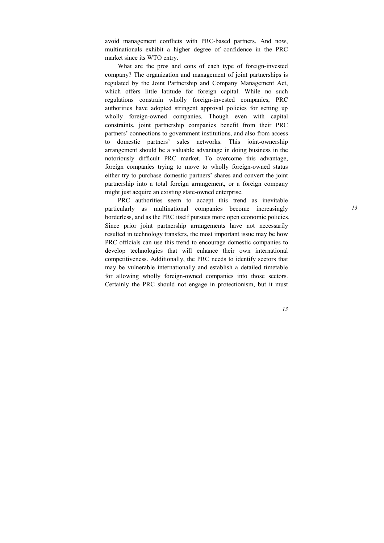avoid management conflicts with PRC-based partners. And now, multinationals exhibit a higher degree of confidence in the PRC market since its WTO entry.

What are the pros and cons of each type of foreign-invested company? The organization and management of joint partnerships is regulated by the Joint Partnership and Company Management Act, which offers little latitude for foreign capital. While no such regulations constrain wholly foreign-invested companies, PRC authorities have adopted stringent approval policies for setting up wholly foreign-owned companies. Though even with capital constraints, joint partnership companies benefit from their PRC partners' connections to government institutions, and also from access to domestic partners' sales networks. This joint-ownership arrangement should be a valuable advantage in doing business in the notoriously difficult PRC market. To overcome this advantage, foreign companies trying to move to wholly foreign-owned status either try to purchase domestic partners' shares and convert the joint partnership into a total foreign arrangement, or a foreign company might just acquire an existing state-owned enterprise.

PRC authorities seem to accept this trend as inevitable particularly as multinational companies become increasingly borderless, and as the PRC itself pursues more open economic policies. Since prior joint partnership arrangements have not necessarily resulted in technology transfers, the most important issue may be how PRC officials can use this trend to encourage domestic companies to develop technologies that will enhance their own international competitiveness. Additionally, the PRC needs to identify sectors that may be vulnerable internationally and establish a detailed timetable for allowing wholly foreign-owned companies into those sectors. Certainly the PRC should not engage in protectionism, but it must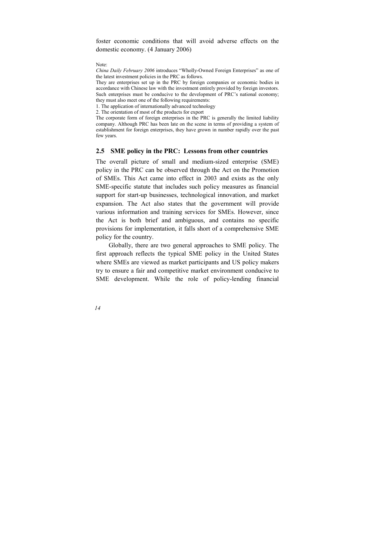<span id="page-18-0"></span>foster economic conditions that will avoid adverse effects on the domestic economy. (4 January 2006)

Note:

*China Daily February 2006* introduces "Wholly-Owned Foreign Enterprises" as one of the latest investment policies in the PRC as follows.

They are enterprises set up in the PRC by foreign companies or economic bodies in accordance with Chinese law with the investment entirely provided by foreign investors. Such enterprises must be conducive to the development of PRC's national economy; they must also meet one of the following requirements:

1. The application of internationally advanced technology

2. The orientation of most of the products for export

The corporate form of foreign enterprises in the PRC is generally the limited liability company. Although PRC has been late on the scene in terms of providing a system of establishment for foreign enterprises, they have grown in number rapidly over the past few years.

#### **2.5 SME policy in the PRC: Lessons from other countries**

The overall picture of small and medium-sized enterprise (SME) policy in the PRC can be observed through the Act on the Promotion of SMEs. This Act came into effect in 2003 and exists as the only SME-specific statute that includes such policy measures as financial support for start-up businesses, technological innovation, and market expansion. The Act also states that the government will provide various information and training services for SMEs. However, since the Act is both brief and ambiguous, and contains no specific provisions for implementation, it falls short of a comprehensive SME policy for the country.

Globally, there are two general approaches to SME policy. The first approach reflects the typical SME policy in the United States where SMEs are viewed as market participants and US policy makers try to ensure a fair and competitive market environment conducive to SME development. While the role of policy-lending financial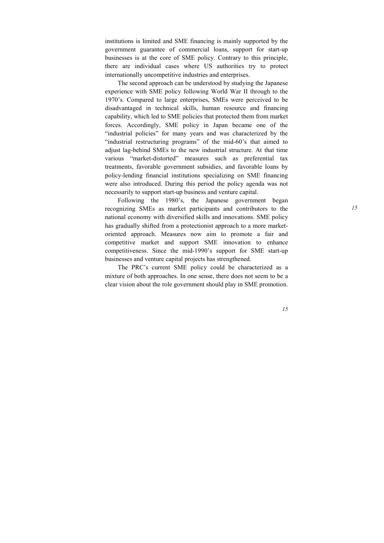institutions is limited and SME financing is mainly supported by the government guarantee of commercial loans, support for start-up businesses is at the core of SME policy. Contrary to this principle, there are individual cases where US authorities try to protect internationally uncompetitive industries and enterprises.

The second approach can be understood by studying the Japanese experience with SME policy following World War II through to the 1970's. Compared to large enterprises, SMEs were perceived to be disadvantaged in technical skills, human resource and financing capability, which led to SME policies that protected them from market forces. Accordingly, SME policy in Japan became one of the "industrial policies" for many years and was characterized by the "industrial restructuring programs" of the mid-60's that aimed to adjust lag-behind SMEs to the new industrial structure. At that time various "market-distorted" measures such as preferential tax treatments, favorable government subsidies, and favorable loans by policy-lending financial institutions specializing on SME financing were also introduced. During this period the policy agenda was not necessarily to support start-up business and venture capital.

Following the 1980's, the Japanese government began recognizing SMEs as market participants and contributors to the national economy with diversified skills and innovations. SME policy has gradually shifted from a protectionist approach to a more marketoriented approach. Measures now aim to promote a fair and competitive market and support SME innovation to enhance competitiveness. Since the mid-1990's support for SME start-up businesses and venture capital projects has strengthened.

The PRC's current SME policy could be characterized as a mixture of both approaches. In one sense, there does not seem to be a clear vision about the role government should play in SME promotion.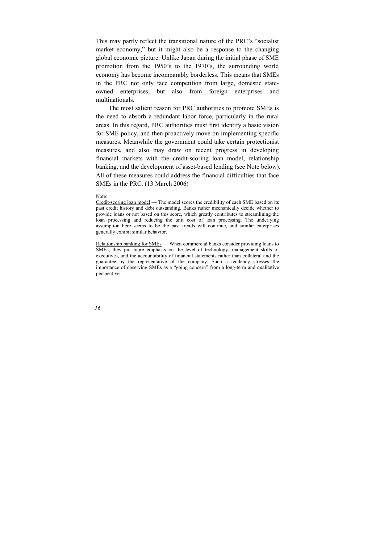This may partly reflect the transitional nature of the PRC's "socialist market economy," but it might also be a response to the changing global economic picture. Unlike Japan during the initial phase of SME promotion from the 1950's to the 1970's, the surrounding world economy has become incomparably borderless. This means that SMEs in the PRC not only face competition from large, domestic stateowned enterprises, but also from foreign enterprises and multinationals.

The most salient reason for PRC authorities to promote SMEs is the need to absorb a redundant labor force, particularly in the rural areas. In this regard, PRC authorities must first identify a basic vision for SME policy, and then proactively move on implementing specific measures. Meanwhile the government could take certain protectionist measures, and also may draw on recent progress in developing financial markets with the credit-scoring loan model, relationship banking, and the development of asset-based lending (see Note below). All of these measures could address the financial difficulties that face SMEs in the PRC. (13 March 2006)

#### Note:

Credit-scoring loan model — The model scores the credibility of each SME based on its past credit history and debt outstanding. Banks rather mechanically decide whether to provide loans or not based on this score, which greatly contributes to streamlining the loan processing and reducing the unit cost of loan processing. The underlying assumption here seems to be the past trends will continue, and similar enterprises generally exhibit similar behavior.

Relationship banking for SMEs — When commercial banks consider providing loans to SMEs, they put more emphasis on the level of technology, management skills of executives, and the accountability of financial statements rather than collateral and the guarantee by the representative of the company. Such a tendency stresses the importance of observing SMEs as a "going concern" from a long-term and qualitative perspective.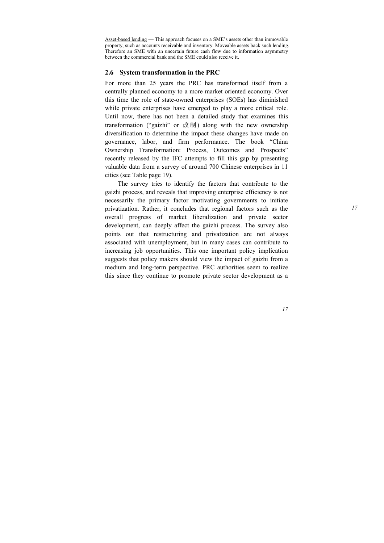<span id="page-21-0"></span>Asset-based lending — This approach focuses on a SME's assets other than immovable property, such as accounts receivable and inventory. Moveable assets back such lending. Therefore an SME with an uncertain future cash flow due to information asymmetry between the commercial bank and the SME could also receive it.

## **2.6 System transformation in the PRC**

For more than 25 years the PRC has transformed itself from a centrally planned economy to a more market oriented economy. Over this time the role of state-owned enterprises (SOEs) has diminished while private enterprises have emerged to play a more critical role. Until now, there has not been a detailed study that examines this transformation ("gaizhi" or 改制) along with the new ownership diversification to determine the impact these changes have made on governance, labor, and firm performance. The book "China Ownership Transformation: Process, Outcomes and Prospects" recently released by the IFC attempts to fill this gap by presenting valuable data from a survey of around 700 Chinese enterprises in 11 cities (see Table page 19).

The survey tries to identify the factors that contribute to the gaizhi process, and reveals that improving enterprise efficiency is not necessarily the primary factor motivating governments to initiate privatization. Rather, it concludes that regional factors such as the overall progress of market liberalization and private sector development, can deeply affect the gaizhi process. The survey also points out that restructuring and privatization are not always associated with unemployment, but in many cases can contribute to increasing job opportunities. This one important policy implication suggests that policy makers should view the impact of gaizhi from a medium and long-term perspective. PRC authorities seem to realize this since they continue to promote private sector development as a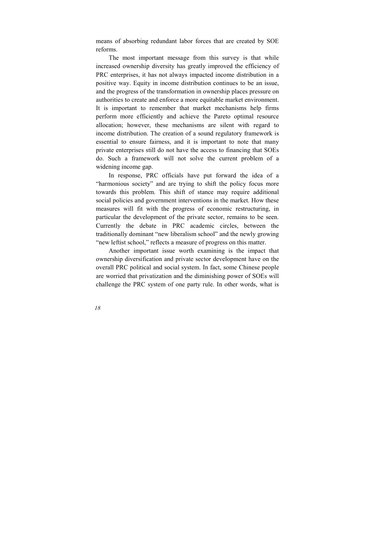means of absorbing redundant labor forces that are created by SOE reforms.

The most important message from this survey is that while increased ownership diversity has greatly improved the efficiency of PRC enterprises, it has not always impacted income distribution in a positive way. Equity in income distribution continues to be an issue, and the progress of the transformation in ownership places pressure on authorities to create and enforce a more equitable market environment. It is important to remember that market mechanisms help firms perform more efficiently and achieve the Pareto optimal resource allocation; however, these mechanisms are silent with regard to income distribution. The creation of a sound regulatory framework is essential to ensure fairness, and it is important to note that many private enterprises still do not have the access to financing that SOEs do. Such a framework will not solve the current problem of a widening income gap.

In response, PRC officials have put forward the idea of a "harmonious society" and are trying to shift the policy focus more towards this problem. This shift of stance may require additional social policies and government interventions in the market. How these measures will fit with the progress of economic restructuring, in particular the development of the private sector, remains to be seen. Currently the debate in PRC academic circles, between the traditionally dominant "new liberalism school" and the newly growing "new leftist school," reflects a measure of progress on this matter.

Another important issue worth examining is the impact that ownership diversification and private sector development have on the overall PRC political and social system. In fact, some Chinese people are worried that privatization and the diminishing power of SOEs will challenge the PRC system of one party rule. In other words, what is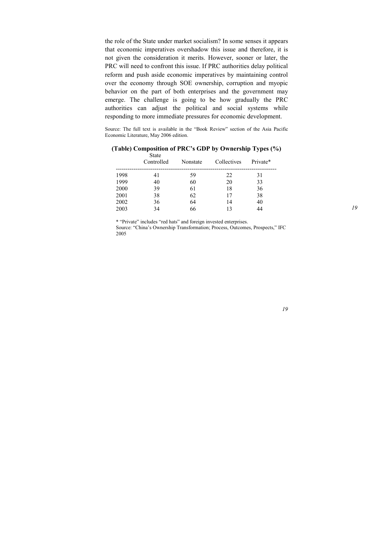the role of the State under market socialism? In some senses it appears that economic imperatives overshadow this issue and therefore, it is not given the consideration it merits. However, sooner or later, the PRC will need to confront this issue. If PRC authorities delay political reform and push aside economic imperatives by maintaining control over the economy through SOE ownership, corruption and myopic behavior on the part of both enterprises and the government may emerge. The challenge is going to be how gradually the PRC authorities can adjust the political and social systems while responding to more immediate pressures for economic development.

Source: The full text is available in the "Book Review" section of the Asia Pacific Economic Literature, May 2006 edition.

|      | <b>State</b><br>Controlled | Nonstate | Collectives | Private* |
|------|----------------------------|----------|-------------|----------|
| 1998 | 41                         | 59       | 22          | 31       |
| 1999 | 40                         | 60       | 20          | 33       |
| 2000 | 39                         | 61       | 18          | 36       |
| 2001 | 38                         | 62       | 17          | 38       |
| 2002 | 36                         | 64       | 14          | 40       |
| 2003 | 34                         | 66       | 13          | 44       |

**(Table) Composition of PRC's GDP by Ownership Types (%)** 

\* "Private" includes "red hats" and foreign invested enterprises. Source: "China's Ownership Transformation; Process, Outcomes, Prospects," IFC 2005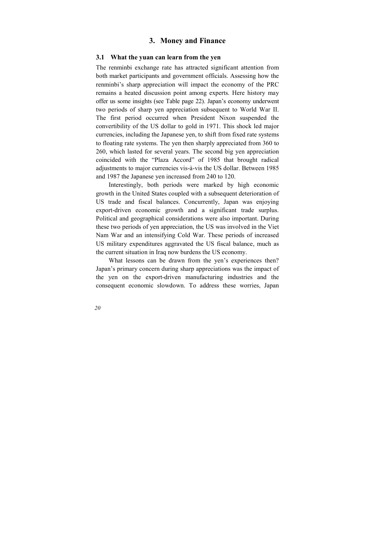# **3. Money and Finance**

#### <span id="page-24-0"></span>**3.1 What the yuan can learn from the yen**

The renminbi exchange rate has attracted significant attention from both market participants and government officials. Assessing how the renminbi's sharp appreciation will impact the economy of the PRC remains a heated discussion point among experts. Here history may offer us some insights (see Table page 22). Japan's economy underwent two periods of sharp yen appreciation subsequent to World War II. The first period occurred when President Nixon suspended the convertibility of the US dollar to gold in 1971. This shock led major currencies, including the Japanese yen, to shift from fixed rate systems to floating rate systems. The yen then sharply appreciated from 360 to 260, which lasted for several years. The second big yen appreciation coincided with the "Plaza Accord" of 1985 that brought radical adjustments to major currencies vis-à-vis the US dollar. Between 1985 and 1987 the Japanese yen increased from 240 to 120.

Interestingly, both periods were marked by high economic growth in the United States coupled with a subsequent deterioration of US trade and fiscal balances. Concurrently, Japan was enjoying export-driven economic growth and a significant trade surplus. Political and geographical considerations were also important. During these two periods of yen appreciation, the US was involved in the Viet Nam War and an intensifying Cold War. These periods of increased US military expenditures aggravated the US fiscal balance, much as the current situation in Iraq now burdens the US economy.

What lessons can be drawn from the yen's experiences then? Japan's primary concern during sharp appreciations was the impact of the yen on the export-driven manufacturing industries and the consequent economic slowdown. To address these worries, Japan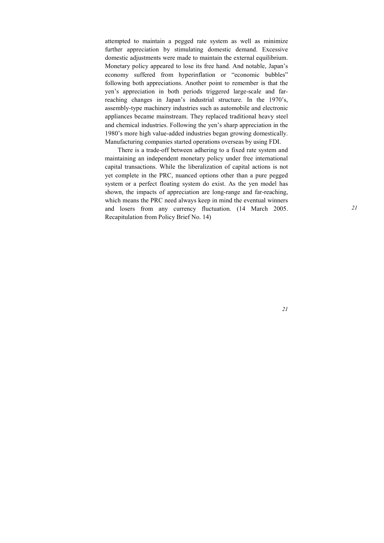attempted to maintain a pegged rate system as well as minimize further appreciation by stimulating domestic demand. Excessive domestic adjustments were made to maintain the external equilibrium. Monetary policy appeared to lose its free hand. And notable, Japan's economy suffered from hyperinflation or "economic bubbles" following both appreciations. Another point to remember is that the yen's appreciation in both periods triggered large-scale and farreaching changes in Japan's industrial structure. In the 1970's, assembly-type machinery industries such as automobile and electronic appliances became mainstream. They replaced traditional heavy steel and chemical industries. Following the yen's sharp appreciation in the 1980's more high value-added industries began growing domestically. Manufacturing companies started operations overseas by using FDI.

There is a trade-off between adhering to a fixed rate system and maintaining an independent monetary policy under free international capital transactions. While the liberalization of capital actions is not yet complete in the PRC, nuanced options other than a pure pegged system or a perfect floating system do exist. As the yen model has shown, the impacts of appreciation are long-range and far-reaching, which means the PRC need always keep in mind the eventual winners and losers from any currency fluctuation. (14 March 2005. Recapitulation from Policy Brief No. 14)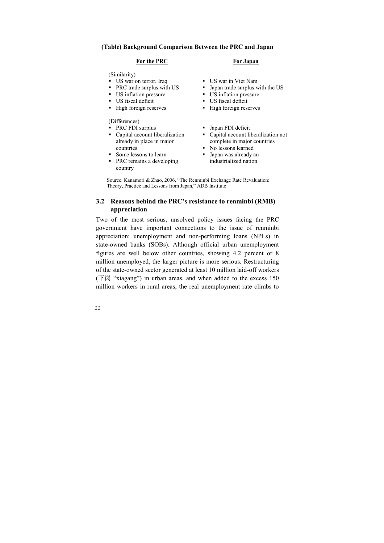#### <span id="page-26-0"></span>**(Table) Background Comparison Between the PRC and Japan**

#### **For the PRC**

(Similarity)

- US war on terror, Iraq
- PRC trade surplus with US
- US inflation pressure
- US fiscal deficit
- **High foreign reserves**

(Differences)

- PRC FDI surplus
- Capital account liberalization already in place in major countries
- Some lessons to learn
- PRC remains a developing country

#### **For Japan**

- US war in Viet Nam
- Japan trade surplus with the US
- US inflation pressure
- US fiscal deficit
- High foreign reserves
- Japan FDI deficit
- Capital account liberalization not complete in major countries
- No lessons learned
- Japan was already an industrialized nation

Source: Kanamori & Zhao, 2006, "The Renminbi Exchange Rate Revaluation: Theory, Practice and Lessons from Japan," ADB Institute

## **3.2 Reasons behind the PRC's resistance to renminbi (RMB) appreciation**

Two of the most serious, unsolved policy issues facing the PRC government have important connections to the issue of renminbi appreciation: unemployment and non-performing loans (NPLs) in state-owned banks (SOBs). Although official urban unemployment figures are well below other countries, showing 4.2 percent or 8 million unemployed, the larger picture is more serious. Restructuring of the state-owned sector generated at least 10 million laid-off workers (下岗 "xiagang") in urban areas, and when added to the excess 150 million workers in rural areas, the real unemployment rate climbs to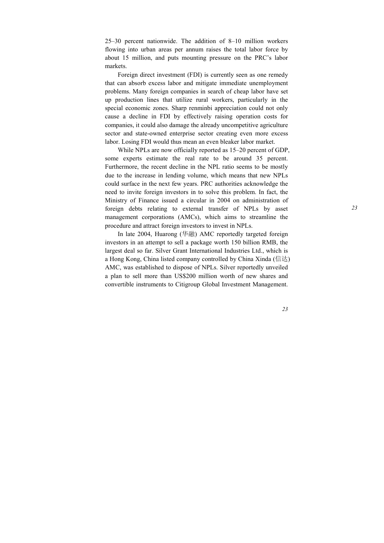25–30 percent nationwide. The addition of 8–10 million workers flowing into urban areas per annum raises the total labor force by about 15 million, and puts mounting pressure on the PRC's labor markets.

Foreign direct investment (FDI) is currently seen as one remedy that can absorb excess labor and mitigate immediate unemployment problems. Many foreign companies in search of cheap labor have set up production lines that utilize rural workers, particularly in the special economic zones. Sharp renminbi appreciation could not only cause a decline in FDI by effectively raising operation costs for companies, it could also damage the already uncompetitive agriculture sector and state-owned enterprise sector creating even more excess labor. Losing FDI would thus mean an even bleaker labor market.

While NPLs are now officially reported as 15–20 percent of GDP, some experts estimate the real rate to be around 35 percent. Furthermore, the recent decline in the NPL ratio seems to be mostly due to the increase in lending volume, which means that new NPLs could surface in the next few years. PRC authorities acknowledge the need to invite foreign investors in to solve this problem. In fact, the Ministry of Finance issued a circular in 2004 on administration of foreign debts relating to external transfer of NPLs by asset management corporations (AMCs), which aims to streamline the procedure and attract foreign investors to invest in NPLs.

In late 2004, Huarong (华融) AMC reportedly targeted foreign investors in an attempt to sell a package worth 150 billion RMB, the largest deal so far. Silver Grant International Industries Ltd., which is a Hong Kong, China listed company controlled by China Xinda (信达) AMC, was established to dispose of NPLs. Silver reportedly unveiled a plan to sell more than US\$200 million worth of new shares and convertible instruments to Citigroup Global Investment Management.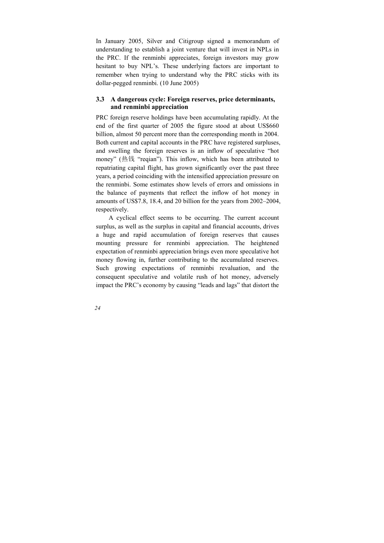<span id="page-28-0"></span>In January 2005, Silver and Citigroup signed a memorandum of understanding to establish a joint venture that will invest in NPLs in the PRC. If the renminbi appreciates, foreign investors may grow hesitant to buy NPL's. These underlying factors are important to remember when trying to understand why the PRC sticks with its dollar-pegged renminbi. (10 June 2005)

#### **3.3 A dangerous cycle: Foreign reserves, price determinants, and renminbi appreciation**

PRC foreign reserve holdings have been accumulating rapidly. At the end of the first quarter of 2005 the figure stood at about US\$660 billion, almost 50 percent more than the corresponding month in 2004. Both current and capital accounts in the PRC have registered surpluses, and swelling the foreign reserves is an inflow of speculative "hot money" (热钱 "reqian"). This inflow, which has been attributed to repatriating capital flight, has grown significantly over the past three years, a period coinciding with the intensified appreciation pressure on the renminbi. Some estimates show levels of errors and omissions in the balance of payments that reflect the inflow of hot money in amounts of US\$7.8, 18.4, and 20 billion for the years from 2002–2004, respectively.

A cyclical effect seems to be occurring. The current account surplus, as well as the surplus in capital and financial accounts, drives a huge and rapid accumulation of foreign reserves that causes mounting pressure for renminbi appreciation. The heightened expectation of renminbi appreciation brings even more speculative hot money flowing in, further contributing to the accumulated reserves. Such growing expectations of renminbi revaluation, and the consequent speculative and volatile rush of hot money, adversely impact the PRC's economy by causing "leads and lags" that distort the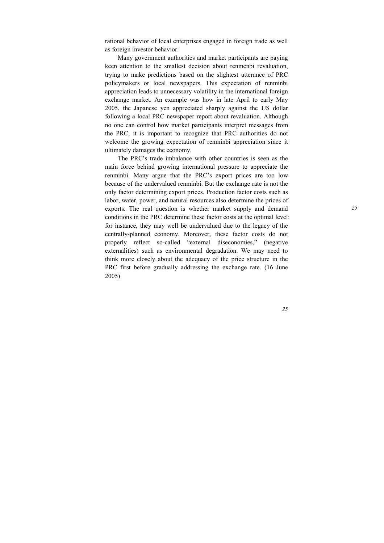rational behavior of local enterprises engaged in foreign trade as well as foreign investor behavior.

Many government authorities and market participants are paying keen attention to the smallest decision about renmenbi revaluation, trying to make predictions based on the slightest utterance of PRC policymakers or local newspapers. This expectation of renminbi appreciation leads to unnecessary volatility in the international foreign exchange market. An example was how in late April to early May 2005, the Japanese yen appreciated sharply against the US dollar following a local PRC newspaper report about revaluation. Although no one can control how market participants interpret messages from the PRC, it is important to recognize that PRC authorities do not welcome the growing expectation of renminbi appreciation since it ultimately damages the economy.

The PRC's trade imbalance with other countries is seen as the main force behind growing international pressure to appreciate the renminbi. Many argue that the PRC's export prices are too low because of the undervalued renminbi. But the exchange rate is not the only factor determining export prices. Production factor costs such as labor, water, power, and natural resources also determine the prices of exports. The real question is whether market supply and demand conditions in the PRC determine these factor costs at the optimal level: for instance, they may well be undervalued due to the legacy of the centrally-planned economy. Moreover, these factor costs do not properly reflect so-called "external diseconomies," (negative externalities) such as environmental degradation. We may need to think more closely about the adequacy of the price structure in the PRC first before gradually addressing the exchange rate. (16 June 2005)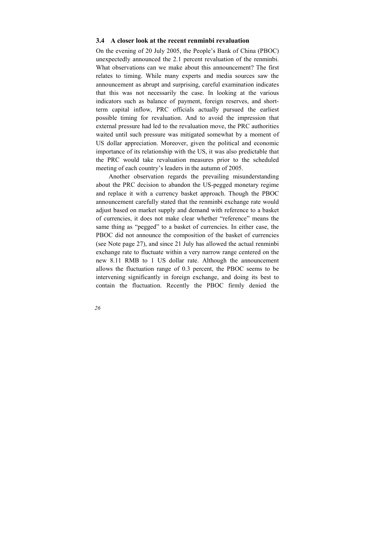#### <span id="page-30-0"></span>**3.4 A closer look at the recent renminbi revaluation**

On the evening of 20 July 2005, the People's Bank of China (PBOC) unexpectedly announced the 2.1 percent revaluation of the renminbi. What observations can we make about this announcement? The first relates to timing. While many experts and media sources saw the announcement as abrupt and surprising, careful examination indicates that this was not necessarily the case. In looking at the various indicators such as balance of payment, foreign reserves, and shortterm capital inflow, PRC officials actually pursued the earliest possible timing for revaluation. And to avoid the impression that external pressure had led to the revaluation move, the PRC authorities waited until such pressure was mitigated somewhat by a moment of US dollar appreciation. Moreover, given the political and economic importance of its relationship with the US, it was also predictable that the PRC would take revaluation measures prior to the scheduled meeting of each country's leaders in the autumn of 2005.

Another observation regards the prevailing misunderstanding about the PRC decision to abandon the US-pegged monetary regime and replace it with a currency basket approach. Though the PBOC announcement carefully stated that the renminbi exchange rate would adjust based on market supply and demand with reference to a basket of currencies, it does not make clear whether "reference" means the same thing as "pegged" to a basket of currencies. In either case, the PBOC did not announce the composition of the basket of currencies (see Note page 27), and since 21 July has allowed the actual renminbi exchange rate to fluctuate within a very narrow range centered on the new 8.11 RMB to 1 US dollar rate. Although the announcement allows the fluctuation range of 0.3 percent, the PBOC seems to be intervening significantly in foreign exchange, and doing its best to contain the fluctuation. Recently the PBOC firmly denied the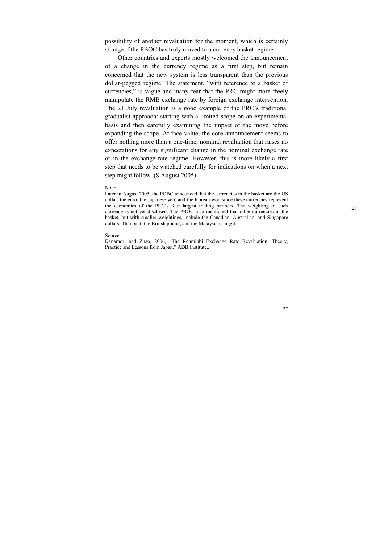possibility of another revaluation for the moment, which is certainly strange if the PBOC has truly moved to a currency basket regime.

Other countries and experts mostly welcomed the announcement of a change in the currency regime as a first step, but remain concerned that the new system is less transparent than the previous dollar-pegged regime. The statement, "with reference to a basket of currencies," is vague and many fear that the PRC might more freely manipulate the RMB exchange rate by foreign exchange intervention. The 21 July revaluation is a good example of the PRC's traditional gradualist approach: starting with a limited scope on an experimental basis and then carefully examining the impact of the move before expanding the scope. At face value, the core announcement seems to offer nothing more than a one-time, nominal revaluation that raises no expectations for any significant change in the nominal exchange rate or in the exchange rate regime. However, this is more likely a first step that needs to be watched carefully for indications on when a next step might follow. (8 August 2005)

Note:

Later in August 2005, the POBC announced that the currencies in the basket are the US dollar, the euro, the Japanese yen, and the Korean won since these currencies represent the economies of the PRC's four largest trading partners. The weighting of each currency is not yet disclosed. The PBOC also mentioned that other currencies in the basket, but with smaller weightings, include the Canadian, Australian, and Singapore dollars, Thai baht, the British pound, and the Malaysian ringgit.

#### Source:

Kanamori and Zhao, 2006, "The Renminbi Exchange Rate Revaluation: Theory, Practice and Lessons from Japan," ADB Institute..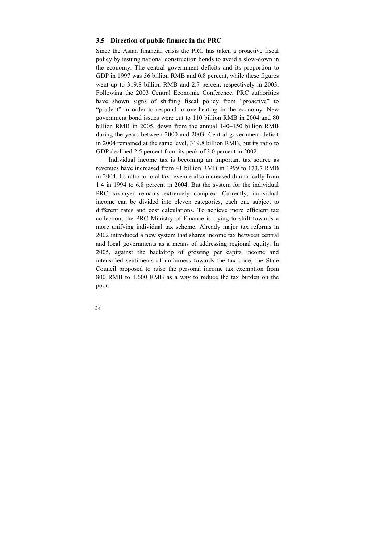## <span id="page-32-0"></span>**3.5 Direction of public finance in the PRC**

Since the Asian financial crisis the PRC has taken a proactive fiscal policy by issuing national construction bonds to avoid a slow-down in the economy. The central government deficits and its proportion to GDP in 1997 was 56 billion RMB and 0.8 percent, while these figures went up to 319.8 billion RMB and 2.7 percent respectively in 2003. Following the 2003 Central Economic Conference, PRC authorities have shown signs of shifting fiscal policy from "proactive" to "prudent" in order to respond to overheating in the economy. New government bond issues were cut to 110 billion RMB in 2004 and 80 billion RMB in 2005, down from the annual 140–150 billion RMB during the years between 2000 and 2003. Central government deficit in 2004 remained at the same level, 319.8 billion RMB, but its ratio to GDP declined 2.5 percent from its peak of 3.0 percent in 2002.

Individual income tax is becoming an important tax source as revenues have increased from 41 billion RMB in 1999 to 173.7 RMB in 2004. Its ratio to total tax revenue also increased dramatically from 1.4 in 1994 to 6.8 percent in 2004. But the system for the individual PRC taxpayer remains extremely complex. Currently, individual income can be divided into eleven categories, each one subject to different rates and cost calculations. To achieve more efficient tax collection, the PRC Ministry of Finance is trying to shift towards a more unifying individual tax scheme. Already major tax reforms in 2002 introduced a new system that shares income tax between central and local governments as a means of addressing regional equity. In 2005, against the backdrop of growing per capita income and intensified sentiments of unfairness towards the tax code, the State Council proposed to raise the personal income tax exemption from 800 RMB to 1,600 RMB as a way to reduce the tax burden on the poor.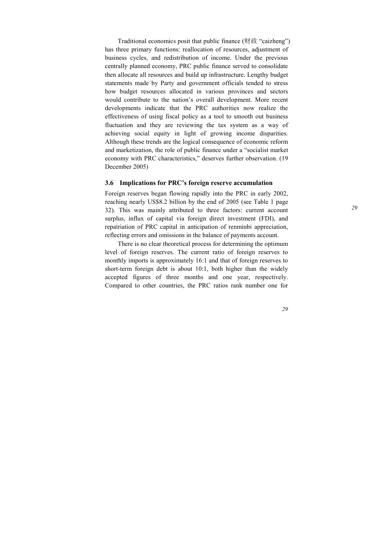<span id="page-33-0"></span>Traditional economics posit that public finance (财政 "caizheng") has three primary functions: reallocation of resources, adjustment of business cycles, and redistribution of income. Under the previous centrally planned economy, PRC public finance served to consolidate then allocate all resources and build up infrastructure. Lengthy budget statements made by Party and government officials tended to stress how budget resources allocated in various provinces and sectors would contribute to the nation's overall development. More recent developments indicate that the PRC authorities now realize the effectiveness of using fiscal policy as a tool to smooth out business fluctuation and they are reviewing the tax system as a way of achieving social equity in light of growing income disparities. Although these trends are the logical consequence of economic reform and marketization, the role of public finance under a "socialist market economy with PRC characteristics," deserves further observation. (19 December 2005)

#### **3.6 Implications for PRC's foreign reserve accumulation**

Foreign reserves began flowing rapidly into the PRC in early 2002, reaching nearly US\$8.2 billion by the end of 2005 (see Table 1 page 32). This was mainly attributed to three factors: current account surplus, influx of capital via foreign direct investment (FDI), and repatriation of PRC capital in anticipation of renminbi appreciation, reflecting errors and omissions in the balance of payments account.

There is no clear theoretical process for determining the optimum level of foreign reserves. The current ratio of foreign reserves to monthly imports is approximately 16:1 and that of foreign reserves to short-term foreign debt is about 10:1, both higher than the widely accepted figures of three months and one year, respectively. Compared to other countries, the PRC ratios rank number one for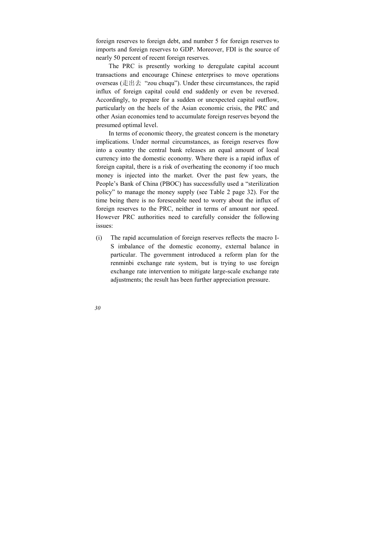foreign reserves to foreign debt, and number 5 for foreign reserves to imports and foreign reserves to GDP. Moreover, FDI is the source of nearly 50 percent of recent foreign reserves.

The PRC is presently working to deregulate capital account transactions and encourage Chinese enterprises to move operations overseas (走出去 "zou chuqu"). Under these circumstances, the rapid influx of foreign capital could end suddenly or even be reversed. Accordingly, to prepare for a sudden or unexpected capital outflow, particularly on the heels of the Asian economic crisis, the PRC and other Asian economies tend to accumulate foreign reserves beyond the presumed optimal level.

In terms of economic theory, the greatest concern is the monetary implications. Under normal circumstances, as foreign reserves flow into a country the central bank releases an equal amount of local currency into the domestic economy. Where there is a rapid influx of foreign capital, there is a risk of overheating the economy if too much money is injected into the market. Over the past few years, the People's Bank of China (PBOC) has successfully used a "sterilization policy" to manage the money supply (see Table 2 page 32). For the time being there is no foreseeable need to worry about the influx of foreign reserves to the PRC, neither in terms of amount nor speed. However PRC authorities need to carefully consider the following issues:

(i) The rapid accumulation of foreign reserves reflects the macro I-S imbalance of the domestic economy, external balance in particular. The government introduced a reform plan for the renminbi exchange rate system, but is trying to use foreign exchange rate intervention to mitigate large-scale exchange rate adjustments; the result has been further appreciation pressure.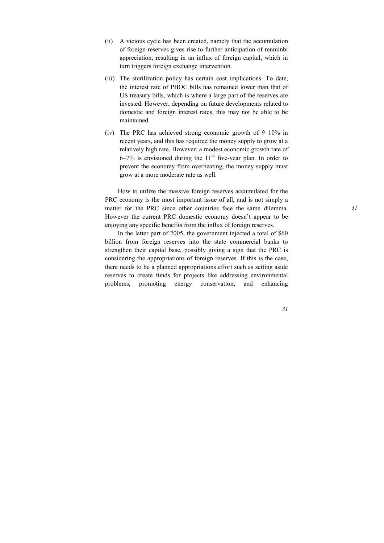- (ii) A vicious cycle has been created, namely that the accumulation of foreign reserves gives rise to further anticipation of renminbi appreciation, resulting in an influx of foreign capital, which in turn triggers foreign exchange intervention.
- (iii) The sterilization policy has certain cost implications. To date, the interest rate of PBOC bills has remained lower than that of US treasury bills, which is where a large part of the reserves are invested. However, depending on future developments related to domestic and foreign interest rates, this may not be able to be maintained.
- (iv) The PRC has achieved strong economic growth of 9–10% in recent years, and this has required the money supply to grow at a relatively high rate. However, a modest economic growth rate of  $6-7\%$  is envisioned during the  $11<sup>th</sup>$  five-year plan. In order to prevent the economy from overheating, the money supply must grow at a more moderate rate as well.

How to utilize the massive foreign reserves accumulated for the PRC economy is the most important issue of all, and is not simply a matter for the PRC since other countries face the same dilemma. However the current PRC domestic economy doesn't appear to be enjoying any specific benefits from the influx of foreign reserves.

In the latter part of 2005, the government injected a total of \$60 billion from foreign reserves into the state commercial banks to strengthen their capital base, possibly giving a sign that the PRC is considering the appropriations of foreign reserves. If this is the case, there needs to be a planned appropriations effort such as setting aside reserves to create funds for projects like addressing environmental problems, promoting energy conservation, and enhancing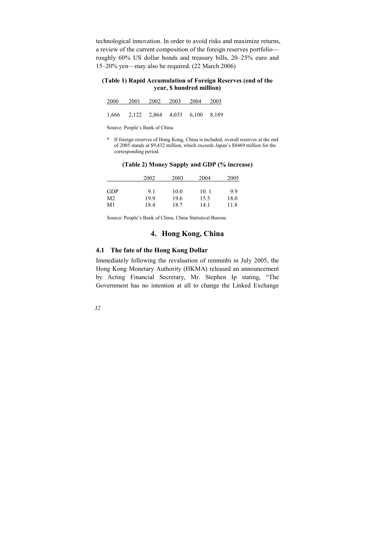technological innovation. In order to avoid risks and maximize returns, a review of the current composition of the foreign reserves portfolio roughly 60% US dollar bonds and treasury bills, 20–25% euro and 15–20% yen—may also be required. (22 March 2006)

#### **(Table 1) Rapid Accumulation of Foreign Reserves (end of the year, \$ hundred million)**

| 2000 2001 2002 2003 2004 2005                   |  |  |
|-------------------------------------------------|--|--|
|                                                 |  |  |
| $1,666$ $2,122$ $2,864$ $4,033$ $6,100$ $8,189$ |  |  |

Source: People's Bank of China

\* If foreign reserves of Hong Kong, China is included, overall reserves at the end of 2005 stands at \$9,432 million, which exceeds Japan's \$8469 million for the corresponding period.

|            | 2002 | 2003 | 2004 | 2005 |
|------------|------|------|------|------|
| <b>GDP</b> | 91   | 10.0 | 10.1 | 99   |
| M2.        | 199  | 19.6 | 15.5 | 18.0 |
| M1         | 18.4 | 18.7 | 14.1 | 11.8 |

#### **(Table 2) Money Supply and GDP (% increase)**

Source: People's Bank of China, China Statistical Bureau

## **4. Hong Kong, China**

### **4.1 The fate of the Hong Kong Dollar**

Immediately following the revaluation of renminbi in July 2005, the Hong Kong Monetary Authority (HKMA) released an announcement by Acting Financial Secretary, Mr. Stephen Ip stating, "The Government has no intention at all to change the Linked Exchange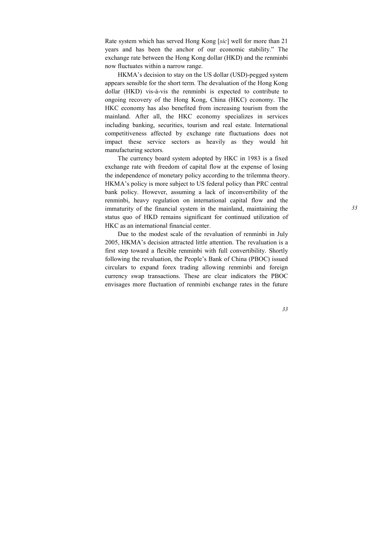Rate system which has served Hong Kong [*sic*] well for more than 21 years and has been the anchor of our economic stability." The exchange rate between the Hong Kong dollar (HKD) and the renminbi now fluctuates within a narrow range.

HKMA's decision to stay on the US dollar (USD)-pegged system appears sensible for the short term. The devaluation of the Hong Kong dollar (HKD) vis-à-vis the renminbi is expected to contribute to ongoing recovery of the Hong Kong, China (HKC) economy. The HKC economy has also benefited from increasing tourism from the mainland. After all, the HKC economy specializes in services including banking, securities, tourism and real estate. International competitiveness affected by exchange rate fluctuations does not impact these service sectors as heavily as they would hit manufacturing sectors.

The currency board system adopted by HKC in 1983 is a fixed exchange rate with freedom of capital flow at the expense of losing the independence of monetary policy according to the trilemma theory. HKMA's policy is more subject to US federal policy than PRC central bank policy. However, assuming a lack of inconvertibility of the renminbi, heavy regulation on international capital flow and the immaturity of the financial system in the mainland, maintaining the status quo of HKD remains significant for continued utilization of HKC as an international financial center.

Due to the modest scale of the revaluation of renminbi in July 2005, HKMA's decision attracted little attention. The revaluation is a first step toward a flexible renminbi with full convertibility. Shortly following the revaluation, the People's Bank of China (PBOC) issued circulars to expand forex trading allowing renminbi and foreign currency swap transactions. These are clear indicators the PBOC envisages more fluctuation of renminbi exchange rates in the future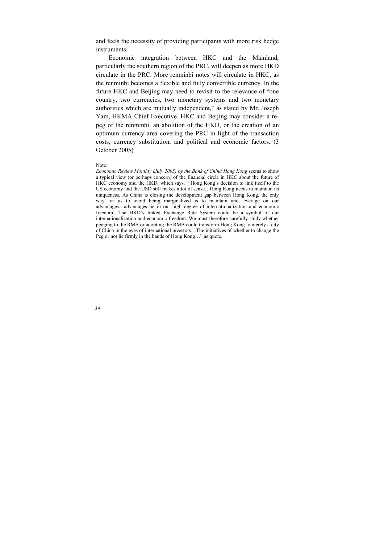and feels the necessity of providing participants with more risk hedge instruments.

Economic integration between HKC and the Mainland, particularly the southern region of the PRC, will deepen as more HKD circulate in the PRC. More renminbi notes will circulate in HKC, as the renminbi becomes a flexible and fully convertible currency. In the future HKC and Beijing may need to revisit to the relevance of "one country, two currencies, two monetary systems and two monetary authorities which are mutually independent," as stated by Mr. Joseph Yam, HKMA Chief Executive. HKC and Beijing may consider a repeg of the renminbi, an abolition of the HKD, or the creation of an optimum currency area covering the PRC in light of the transaction costs, currency substitution, and political and economic factors. (3 October 2005)

#### Note:

*Economic Review Monthly (July 2005) by the Bank of China Hong Kong* seems to show a typical view (or perhaps concern) of the financial circle in HKC about the future of HKC economy and the HKD, which says, " Hong Kong's decision to link itself to the US economy and the USD still makes a lot of sense…Hong Kong needs to maintain its uniqueness. As China is closing the development gap between Hong Kong, the only way for us to avoid being marginalized is to maintain and leverage on our advantages…advantages lie in our high degree of internationalization and economic freedom…The HKD's linked Exchange Rate System could be a symbol of our internationalization and economic freedom. We must therefore carefully study whether pegging to the RMB or adopting the RMB could transform Hong Kong to merely a city of China in the eyes of international investors…The initiatives of whether to change the Peg or not lie firmly in the hands of Hong Kong…" as quote.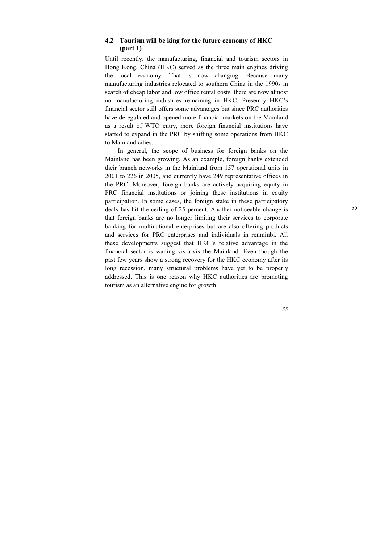## **4.2 Tourism will be king for the future economy of HKC (part 1)**

Until recently, the manufacturing, financial and tourism sectors in Hong Kong, China (HKC) served as the three main engines driving the local economy. That is now changing. Because many manufacturing industries relocated to southern China in the 1990s in search of cheap labor and low office rental costs, there are now almost no manufacturing industries remaining in HKC. Presently HKC's financial sector still offers some advantages but since PRC authorities have deregulated and opened more financial markets on the Mainland as a result of WTO entry, more foreign financial institutions have started to expand in the PRC by shifting some operations from HKC to Mainland cities.

In general, the scope of business for foreign banks on the Mainland has been growing. As an example, foreign banks extended their branch networks in the Mainland from 157 operational units in 2001 to 226 in 2005, and currently have 249 representative offices in the PRC. Moreover, foreign banks are actively acquiring equity in PRC financial institutions or joining these institutions in equity participation. In some cases, the foreign stake in these participatory deals has hit the ceiling of 25 percent. Another noticeable change is that foreign banks are no longer limiting their services to corporate banking for multinational enterprises but are also offering products and services for PRC enterprises and individuals in renminbi. All these developments suggest that HKC's relative advantage in the financial sector is waning vis-à-vis the Mainland. Even though the past few years show a strong recovery for the HKC economy after its long recession, many structural problems have yet to be properly addressed. This is one reason why HKC authorities are promoting tourism as an alternative engine for growth.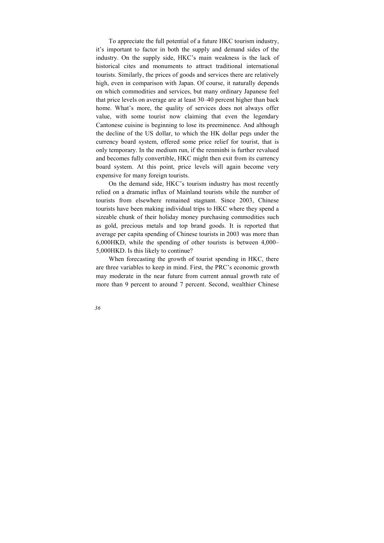To appreciate the full potential of a future HKC tourism industry, it's important to factor in both the supply and demand sides of the industry. On the supply side, HKC's main weakness is the lack of historical cites and monuments to attract traditional international tourists. Similarly, the prices of goods and services there are relatively high, even in comparison with Japan. Of course, it naturally depends on which commodities and services, but many ordinary Japanese feel that price levels on average are at least 30–40 percent higher than back home. What's more, the quality of services does not always offer value, with some tourist now claiming that even the legendary Cantonese cuisine is beginning to lose its preeminence. And although the decline of the US dollar, to which the HK dollar pegs under the currency board system, offered some price relief for tourist, that is only temporary. In the medium run, if the renminbi is further revalued and becomes fully convertible, HKC might then exit from its currency board system. At this point, price levels will again become very expensive for many foreign tourists.

On the demand side, HKC's tourism industry has most recently relied on a dramatic influx of Mainland tourists while the number of tourists from elsewhere remained stagnant. Since 2003, Chinese tourists have been making individual trips to HKC where they spend a sizeable chunk of their holiday money purchasing commodities such as gold, precious metals and top brand goods. It is reported that average per capita spending of Chinese tourists in 2003 was more than 6,000HKD, while the spending of other tourists is between 4,000– 5,000HKD. Is this likely to continue?

When forecasting the growth of tourist spending in HKC, there are three variables to keep in mind. First, the PRC's economic growth may moderate in the near future from current annual growth rate of more than 9 percent to around 7 percent. Second, wealthier Chinese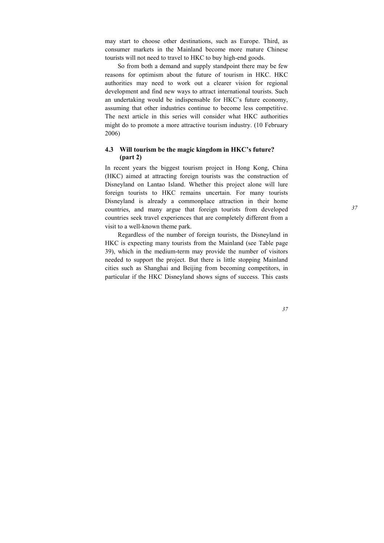may start to choose other destinations, such as Europe. Third, as consumer markets in the Mainland become more mature Chinese tourists will not need to travel to HKC to buy high-end goods.

So from both a demand and supply standpoint there may be few reasons for optimism about the future of tourism in HKC. HKC authorities may need to work out a clearer vision for regional development and find new ways to attract international tourists. Such an undertaking would be indispensable for HKC's future economy, assuming that other industries continue to become less competitive. The next article in this series will consider what HKC authorities might do to promote a more attractive tourism industry. (10 February 2006)

## **4.3 Will tourism be the magic kingdom in HKC's future? (part 2)**

In recent years the biggest tourism project in Hong Kong, China (HKC) aimed at attracting foreign tourists was the construction of Disneyland on Lantao Island. Whether this project alone will lure foreign tourists to HKC remains uncertain. For many tourists Disneyland is already a commonplace attraction in their home countries, and many argue that foreign tourists from developed countries seek travel experiences that are completely different from a visit to a well-known theme park.

Regardless of the number of foreign tourists, the Disneyland in HKC is expecting many tourists from the Mainland (see Table page 39), which in the medium-term may provide the number of visitors needed to support the project. But there is little stopping Mainland cities such as Shanghai and Beijing from becoming competitors, in particular if the HKC Disneyland shows signs of success. This casts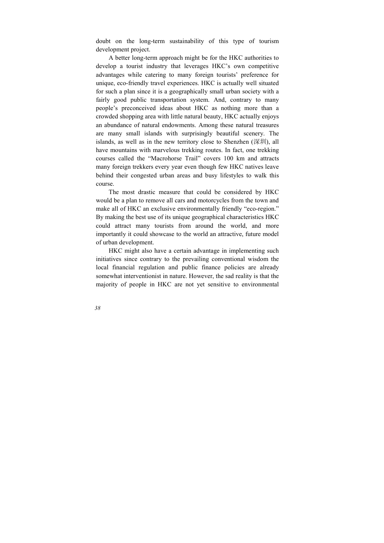doubt on the long-term sustainability of this type of tourism development project.

A better long-term approach might be for the HKC authorities to develop a tourist industry that leverages HKC's own competitive advantages while catering to many foreign tourists' preference for unique, eco-friendly travel experiences. HKC is actually well situated for such a plan since it is a geographically small urban society with a fairly good public transportation system. And, contrary to many people's preconceived ideas about HKC as nothing more than a crowded shopping area with little natural beauty, HKC actually enjoys an abundance of natural endowments. Among these natural treasures are many small islands with surprisingly beautiful scenery. The islands, as well as in the new territory close to Shenzhen (深圳), all have mountains with marvelous trekking routes. In fact, one trekking courses called the "Macrohorse Trail" covers 100 km and attracts many foreign trekkers every year even though few HKC natives leave behind their congested urban areas and busy lifestyles to walk this course.

The most drastic measure that could be considered by HKC would be a plan to remove all cars and motorcycles from the town and make all of HKC an exclusive environmentally friendly "eco-region." By making the best use of its unique geographical characteristics HKC could attract many tourists from around the world, and more importantly it could showcase to the world an attractive, future model of urban development.

HKC might also have a certain advantage in implementing such initiatives since contrary to the prevailing conventional wisdom the local financial regulation and public finance policies are already somewhat interventionist in nature. However, the sad reality is that the majority of people in HKC are not yet sensitive to environmental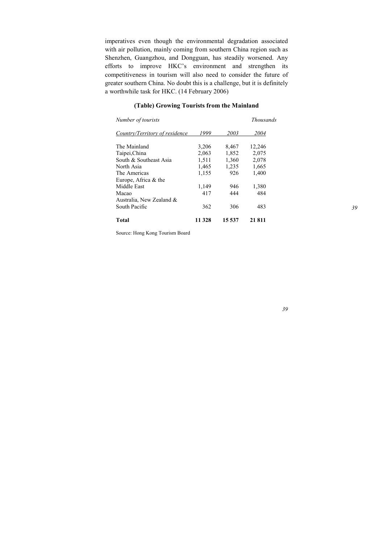imperatives even though the environmental degradation associated with air pollution, mainly coming from southern China region such as Shenzhen, Guangzhou, and Dongguan, has steadily worsened. Any efforts to improve HKC's environment and strengthen its competitiveness in tourism will also need to consider the future of greater southern China. No doubt this is a challenge, but it is definitely a worthwhile task for HKC. (14 February 2006)

## *Number of tourists Thousands Country/Territory of residence 1999 2003 2004* The Mainland 3,206 8,467 12,246 Taipei,China 2,063 1,852 2,075 South & Southeast Asia 1,511 1,360 2,078 North Asia 1,465 1,235 1,665 The Americas 1,155 926 1,400 Europe, Africa & the Middle East 1,149 946 1,380 Macao 417 444 484 Australia, New Zealand & South Pacific 362 306 483 **Total 11 328 15 537 21 811**

#### **(Table) Growing Tourists from the Mainland**

Source: Hong Kong Tourism Board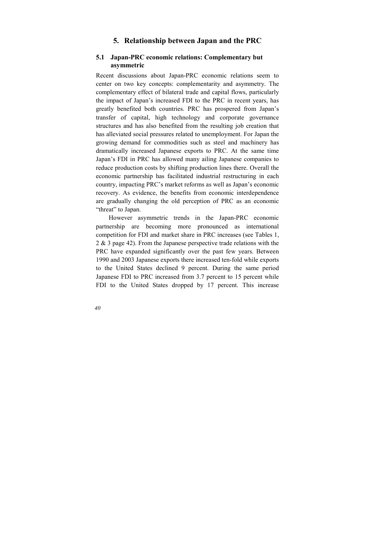# **5. Relationship between Japan and the PRC**

## **5.1 Japan-PRC economic relations: Complementary but asymmetric**

Recent discussions about Japan-PRC economic relations seem to center on two key concepts: complementarity and asymmetry. The complementary effect of bilateral trade and capital flows, particularly the impact of Japan's increased FDI to the PRC in recent years, has greatly benefited both countries. PRC has prospered from Japan's transfer of capital, high technology and corporate governance structures and has also benefited from the resulting job creation that has alleviated social pressures related to unemployment. For Japan the growing demand for commodities such as steel and machinery has dramatically increased Japanese exports to PRC. At the same time Japan's FDI in PRC has allowed many ailing Japanese companies to reduce production costs by shifting production lines there. Overall the economic partnership has facilitated industrial restructuring in each country, impacting PRC's market reforms as well as Japan's economic recovery. As evidence, the benefits from economic interdependence are gradually changing the old perception of PRC as an economic "threat" to Japan.

However asymmetric trends in the Japan-PRC economic partnership are becoming more pronounced as international competition for FDI and market share in PRC increases (see Tables 1, 2 & 3 page 42). From the Japanese perspective trade relations with the PRC have expanded significantly over the past few years. Between 1990 and 2003 Japanese exports there increased ten-fold while exports to the United States declined 9 percent. During the same period Japanese FDI to PRC increased from 3.7 percent to 15 percent while FDI to the United States dropped by 17 percent. This increase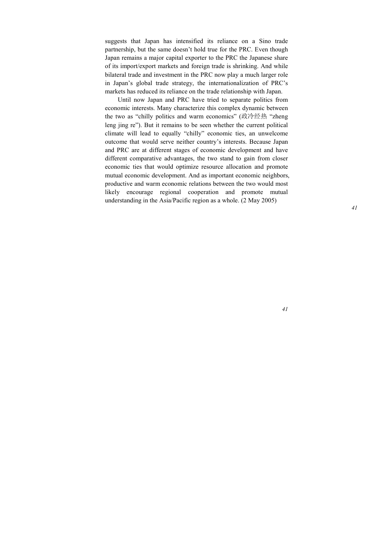suggests that Japan has intensified its reliance on a Sino trade partnership, but the same doesn't hold true for the PRC. Even though Japan remains a major capital exporter to the PRC the Japanese share of its import/export markets and foreign trade is shrinking. And while bilateral trade and investment in the PRC now play a much larger role in Japan's global trade strategy, the internationalization of PRC's markets has reduced its reliance on the trade relationship with Japan.

Until now Japan and PRC have tried to separate politics from economic interests. Many characterize this complex dynamic between the two as "chilly politics and warm economics" (政冷经热 "zheng leng jing re"). But it remains to be seen whether the current political climate will lead to equally "chilly" economic ties, an unwelcome outcome that would serve neither country's interests. Because Japan and PRC are at different stages of economic development and have different comparative advantages, the two stand to gain from closer economic ties that would optimize resource allocation and promote mutual economic development. And as important economic neighbors, productive and warm economic relations between the two would most likely encourage regional cooperation and promote mutual understanding in the Asia/Pacific region as a whole. (2 May 2005)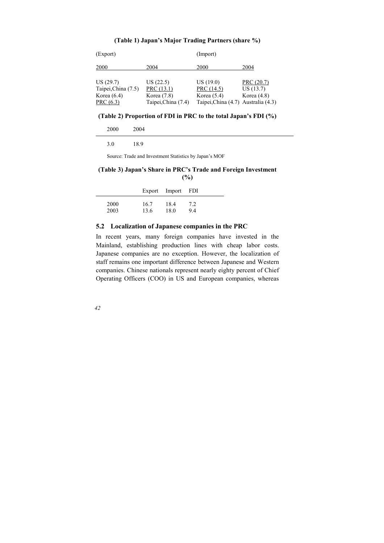| (Export)                                                        |                                                                | (Import)                                                                       |                                         |
|-----------------------------------------------------------------|----------------------------------------------------------------|--------------------------------------------------------------------------------|-----------------------------------------|
| 2000                                                            | 2004                                                           | 2000                                                                           | 2004                                    |
| US(29.7)<br>Taipei, China (7.5)<br>Korea $(6.4)$<br>PRC $(6.3)$ | US(22.5)<br>PRC (13.1)<br>Korea $(7.8)$<br>Taipei, China (7.4) | US(19.0)<br>PRC (14.5)<br>Korea $(5.4)$<br>Taipei, China (4.7) Australia (4.3) | PRC (20.7)<br>US(13.7)<br>Korea $(4.8)$ |

### **(Table 1) Japan's Major Trading Partners (share %)**

### **(Table 2) Proportion of FDI in PRC to the total Japan's FDI (%)**

| 2000 | 2004 |
|------|------|
| 3.0  | 18.9 |

Source: Trade and Investment Statistics by Japan's MOF

### **(Table 3) Japan's Share in PRC's Trade and Foreign Investment (%)**

|      |      | Export Import | - FDI |
|------|------|---------------|-------|
| 2000 | 16.7 | 18.4          | 7.2   |
| 2003 | 13.6 | 18.0          | 94    |

### **5.2 Localization of Japanese companies in the PRC**

In recent years, many foreign companies have invested in the Mainland, establishing production lines with cheap labor costs. Japanese companies are no exception. However, the localization of staff remains one important difference between Japanese and Western companies. Chinese nationals represent nearly eighty percent of Chief Operating Officers (COO) in US and European companies, whereas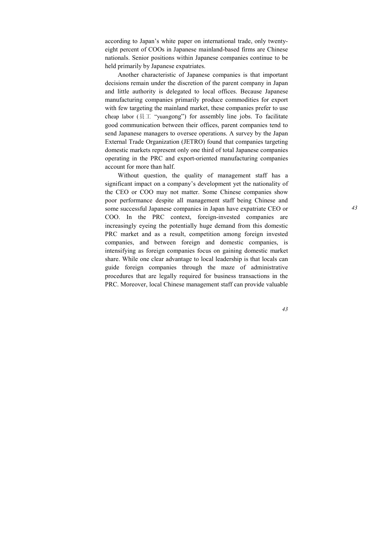according to Japan's white paper on international trade, only twentyeight percent of COOs in Japanese mainland-based firms are Chinese nationals. Senior positions within Japanese companies continue to be held primarily by Japanese expatriates.

Another characteristic of Japanese companies is that important decisions remain under the discretion of the parent company in Japan and little authority is delegated to local offices. Because Japanese manufacturing companies primarily produce commodities for export with few targeting the mainland market, these companies prefer to use cheap labor (员工 "yuangong") for assembly line jobs. To facilitate good communication between their offices, parent companies tend to send Japanese managers to oversee operations. A survey by the Japan External Trade Organization (JETRO) found that companies targeting domestic markets represent only one third of total Japanese companies operating in the PRC and export-oriented manufacturing companies account for more than half.

Without question, the quality of management staff has a significant impact on a company's development yet the nationality of the CEO or COO may not matter. Some Chinese companies show poor performance despite all management staff being Chinese and some successful Japanese companies in Japan have expatriate CEO or COO. In the PRC context, foreign-invested companies are increasingly eyeing the potentially huge demand from this domestic PRC market and as a result, competition among foreign invested companies, and between foreign and domestic companies, is intensifying as foreign companies focus on gaining domestic market share. While one clear advantage to local leadership is that locals can guide foreign companies through the maze of administrative procedures that are legally required for business transactions in the PRC. Moreover, local Chinese management staff can provide valuable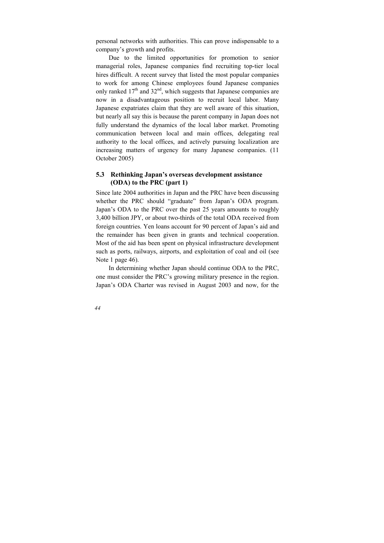personal networks with authorities. This can prove indispensable to a company's growth and profits.

Due to the limited opportunities for promotion to senior managerial roles, Japanese companies find recruiting top-tier local hires difficult. A recent survey that listed the most popular companies to work for among Chinese employees found Japanese companies only ranked  $17<sup>th</sup>$  and  $32<sup>nd</sup>$ , which suggests that Japanese companies are now in a disadvantageous position to recruit local labor. Many Japanese expatriates claim that they are well aware of this situation, but nearly all say this is because the parent company in Japan does not fully understand the dynamics of the local labor market. Promoting communication between local and main offices, delegating real authority to the local offices, and actively pursuing localization are increasing matters of urgency for many Japanese companies. (11 October 2005)

## **5.3 Rethinking Japan's overseas development assistance (ODA) to the PRC (part 1)**

Since late 2004 authorities in Japan and the PRC have been discussing whether the PRC should "graduate" from Japan's ODA program. Japan's ODA to the PRC over the past 25 years amounts to roughly 3,400 billion JPY, or about two-thirds of the total ODA received from foreign countries. Yen loans account for 90 percent of Japan's aid and the remainder has been given in grants and technical cooperation. Most of the aid has been spent on physical infrastructure development such as ports, railways, airports, and exploitation of coal and oil (see Note 1 page 46).

In determining whether Japan should continue ODA to the PRC, one must consider the PRC's growing military presence in the region. Japan's ODA Charter was revised in August 2003 and now, for the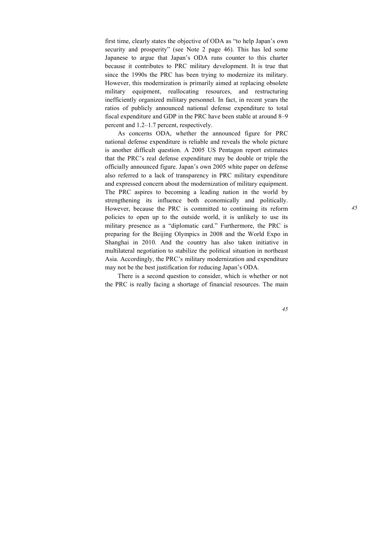first time, clearly states the objective of ODA as "to help Japan's own security and prosperity" (see Note 2 page 46). This has led some Japanese to argue that Japan's ODA runs counter to this charter because it contributes to PRC military development. It is true that since the 1990s the PRC has been trying to modernize its military. However, this modernization is primarily aimed at replacing obsolete military equipment, reallocating resources, and restructuring inefficiently organized military personnel. In fact, in recent years the ratios of publicly announced national defense expenditure to total fiscal expenditure and GDP in the PRC have been stable at around 8–9 percent and 1.2–1.7 percent, respectively.

As concerns ODA, whether the announced figure for PRC national defense expenditure is reliable and reveals the whole picture is another difficult question. A 2005 US Pentagon report estimates that the PRC's real defense expenditure may be double or triple the officially announced figure. Japan's own 2005 white paper on defense also referred to a lack of transparency in PRC military expenditure and expressed concern about the modernization of military equipment. The PRC aspires to becoming a leading nation in the world by strengthening its influence both economically and politically. However, because the PRC is committed to continuing its reform policies to open up to the outside world, it is unlikely to use its military presence as a "diplomatic card." Furthermore, the PRC is preparing for the Beijing Olympics in 2008 and the World Expo in Shanghai in 2010. And the country has also taken initiative in multilateral negotiation to stabilize the political situation in northeast Asia. Accordingly, the PRC's military modernization and expenditure may not be the best justification for reducing Japan's ODA.

There is a second question to consider, which is whether or not the PRC is really facing a shortage of financial resources. The main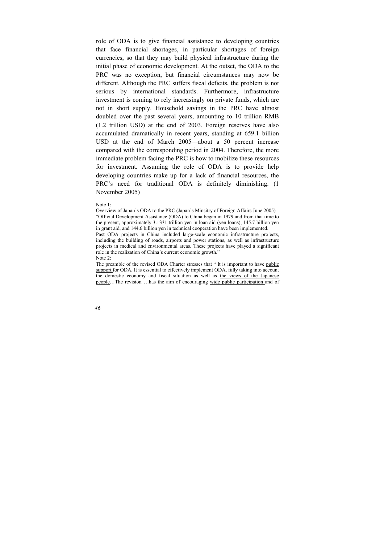role of ODA is to give financial assistance to developing countries that face financial shortages, in particular shortages of foreign currencies, so that they may build physical infrastructure during the initial phase of economic development. At the outset, the ODA to the PRC was no exception, but financial circumstances may now be different. Although the PRC suffers fiscal deficits, the problem is not serious by international standards. Furthermore, infrastructure investment is coming to rely increasingly on private funds, which are not in short supply. Household savings in the PRC have almost doubled over the past several years, amounting to 10 trillion RMB (1.2 trillion USD) at the end of 2003. Foreign reserves have also accumulated dramatically in recent years, standing at 659.1 billion USD at the end of March 2005—about a 50 percent increase compared with the corresponding period in 2004. Therefore, the more immediate problem facing the PRC is how to mobilize these resources for investment. Assuming the role of ODA is to provide help developing countries make up for a lack of financial resources, the PRC's need for traditional ODA is definitely diminishing. (1 November 2005)

Note 1:

Overview of Japan's ODA to the PRC (Japan's Minsitry of Foreign Affairs June 2005) "Official Development Assistance (ODA) to China began in 1979 and from that time to the present, approximately 3.1331 trillion yen in loan aid (yen loans), 145.7 billion yen in grant aid, and 144.6 billion yen in technical cooperation have been implemented.

Past ODA projects in China included large-scale economic infrastructure projects, including the building of roads, airports and power stations, as well as infrastructure projects in medical and environmental areas. These projects have played a significant role in the realization of China's current economic growth." Note 2:

The preamble of the revised ODA Charter stresses that "It is important to have public support for ODA. It is essential to effectively implement ODA, fully taking into account the domestic economy and fiscal situation as well as the views of the Japanese people…The revision …has the aim of encouraging wide public participation and of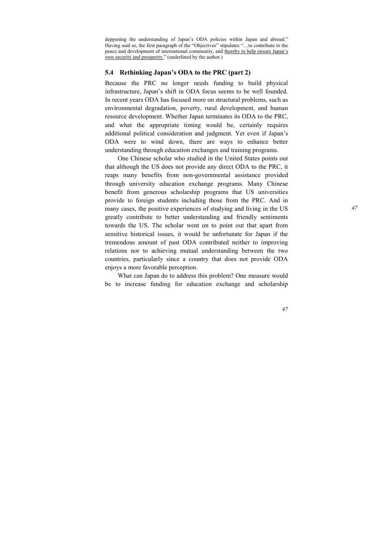deppening the understanding of Japan's ODA policies within Japan and abroad." Having said so, the first paragraph of the "Objectives" stipulates "…to contribute to the peace and development of international community, and thereby to help ensure Japan's own security and prosperity." (underlined by the author.)

## **5.4 Rethinking Japan's ODA to the PRC (part 2)**

Because the PRC no longer needs funding to build physical infrastructure, Japan's shift in ODA focus seems to be well founded. In recent years ODA has focused more on structural problems, such as environmental degradation, poverty, rural development, and human resource development. Whether Japan terminates its ODA to the PRC, and what the appropriate timing would be, certainly requires additional political consideration and judgment. Yet even if Japan's ODA were to wind down, there are ways to enhance better understanding through education exchanges and training programs.

One Chinese scholar who studied in the United States points out that although the US does not provide any direct ODA to the PRC, it reaps many benefits from non-governmental assistance provided through university education exchange programs. Many Chinese benefit from generous scholarship programs that US universities provide to foreign students including those from the PRC. And in many cases, the positive experiences of studying and living in the US greatly contribute to better understanding and friendly sentiments towards the US. The scholar went on to point out that apart from sensitive historical issues, it would be unfortunate for Japan if the tremendous amount of past ODA contributed neither to improving relations nor to achieving mutual understanding between the two countries, particularly since a country that does not provide ODA enjoys a more favorable perception.

What can Japan do to address this problem? One measure would be to increase funding for education exchange and scholarship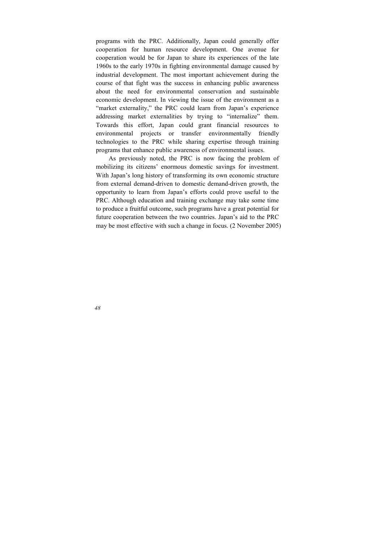programs with the PRC. Additionally, Japan could generally offer cooperation for human resource development. One avenue for cooperation would be for Japan to share its experiences of the late 1960s to the early 1970s in fighting environmental damage caused by industrial development. The most important achievement during the course of that fight was the success in enhancing public awareness about the need for environmental conservation and sustainable economic development. In viewing the issue of the environment as a "market externality," the PRC could learn from Japan's experience addressing market externalities by trying to "internalize" them. Towards this effort, Japan could grant financial resources to environmental projects or transfer environmentally friendly technologies to the PRC while sharing expertise through training programs that enhance public awareness of environmental issues.

As previously noted, the PRC is now facing the problem of mobilizing its citizens' enormous domestic savings for investment. With Japan's long history of transforming its own economic structure from external demand-driven to domestic demand-driven growth, the opportunity to learn from Japan's efforts could prove useful to the PRC. Although education and training exchange may take some time to produce a fruitful outcome, such programs have a great potential for future cooperation between the two countries. Japan's aid to the PRC may be most effective with such a change in focus. (2 November 2005)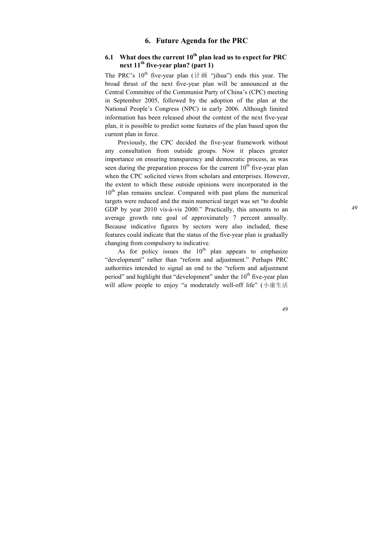# **6. Future Agenda for the PRC**

## $6.1$  What does the current  $10<sup>th</sup>$  plan lead us to expect for PRC **next 11th five-year plan? (part 1)**

The PRC's  $10^{th}$  five-year plan ( $\hat{t}$   $\hat{t}$   $\hat{m}$  "iihua") ends this year. The broad thrust of the next five-year plan will be announced at the Central Committee of the Communist Party of China's (CPC) meeting in September 2005, followed by the adoption of the plan at the National People's Congress (NPC) in early 2006. Although limited information has been released about the content of the next five-year plan, it is possible to predict some features of the plan based upon the current plan in force.

Previously, the CPC decided the five-year framework without any consultation from outside groups. Now it places greater importance on ensuring transparency and democratic process, as was seen during the preparation process for the current  $10<sup>th</sup>$  five-year plan when the CPC solicited views from scholars and enterprises. However, the extent to which these outside opinions were incorporated in the  $10<sup>th</sup>$  plan remains unclear. Compared with past plans the numerical targets were reduced and the main numerical target was set "to double GDP by year 2010 vis-à-vis 2000." Practically, this amounts to an average growth rate goal of approximately 7 percent annually. Because indicative figures by sectors were also included, these features could indicate that the status of the five-year plan is gradually changing from compulsory to indicative.

As for policy issues the  $10<sup>th</sup>$  plan appears to emphasize "development" rather than "reform and adjustment." Perhaps PRC authorities intended to signal an end to the "reform and adjustment period" and highlight that "development" under the  $10<sup>th</sup>$  five-year plan will allow people to enjoy "a moderately well-off life" (小康生活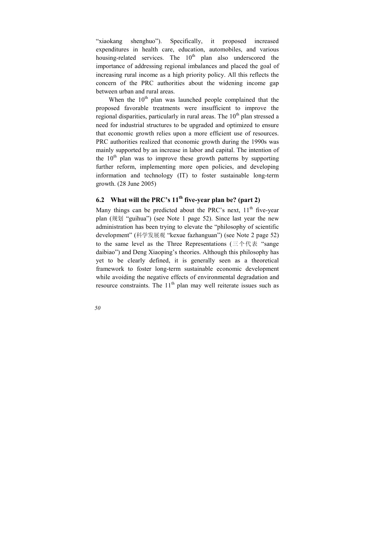"xiaokang shenghuo"). Specifically, it proposed increased expenditures in health care, education, automobiles, and various housing-related services. The  $10<sup>th</sup>$  plan also underscored the importance of addressing regional imbalances and placed the goal of increasing rural income as a high priority policy. All this reflects the concern of the PRC authorities about the widening income gap between urban and rural areas.

When the  $10<sup>th</sup>$  plan was launched people complained that the proposed favorable treatments were insufficient to improve the regional disparities, particularly in rural areas. The  $10<sup>th</sup>$  plan stressed a need for industrial structures to be upgraded and optimized to ensure that economic growth relies upon a more efficient use of resources. PRC authorities realized that economic growth during the 1990s was mainly supported by an increase in labor and capital. The intention of the  $10<sup>th</sup>$  plan was to improve these growth patterns by supporting further reform, implementing more open policies, and developing information and technology (IT) to foster sustainable long-term growth. (28 June 2005)

## **6.2 What will the PRC's**  $11^{th}$  **five-year plan be? (part 2)**

Many things can be predicted about the PRC's next,  $11<sup>th</sup>$  five-vear plan (规划 "guihua") (see Note 1 page 52). Since last year the new administration has been trying to elevate the "philosophy of scientific development" (科学发展观 "kexue fazhanguan") (see Note 2 page 52) to the same level as the Three Representations (三个代表 "sange daibiao") and Deng Xiaoping's theories. Although this philosophy has yet to be clearly defined, it is generally seen as a theoretical framework to foster long-term sustainable economic development while avoiding the negative effects of environmental degradation and resource constraints. The  $11<sup>th</sup>$  plan may well reiterate issues such as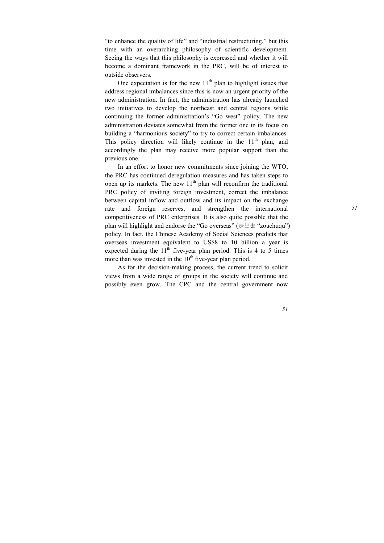"to enhance the quality of life" and "industrial restructuring," but this time with an overarching philosophy of scientific development. Seeing the ways that this philosophy is expressed and whether it will become a dominant framework in the PRC, will be of interest to outside observers.

One expectation is for the new  $11<sup>th</sup>$  plan to highlight issues that address regional imbalances since this is now an urgent priority of the new administration. In fact, the administration has already launched two initiatives to develop the northeast and central regions while continuing the former administration's "Go west" policy. The new administration deviates somewhat from the former one in its focus on building a "harmonious society" to try to correct certain imbalances. This policy direction will likely continue in the  $11<sup>th</sup>$  plan, and accordingly the plan may receive more popular support than the previous one.

In an effort to honor new commitments since joining the WTO, the PRC has continued deregulation measures and has taken steps to open up its markets. The new  $11<sup>th</sup>$  plan will reconfirm the traditional PRC policy of inviting foreign investment, correct the imbalance between capital inflow and outflow and its impact on the exchange rate and foreign reserves, and strengthen the international competitiveness of PRC enterprises. It is also quite possible that the plan will highlight and endorse the "Go overseas" (走出去 "zouchuqu") policy. In fact, the Chinese Academy of Social Sciences predicts that overseas investment equivalent to US\$8 to 10 billion a year is expected during the  $11<sup>th</sup>$  five-year plan period. This is 4 to 5 times more than was invested in the  $10<sup>th</sup>$  five-year plan period.

As for the decision-making process, the current trend to solicit views from a wide range of groups in the society will continue and possibly even grow. The CPC and the central government now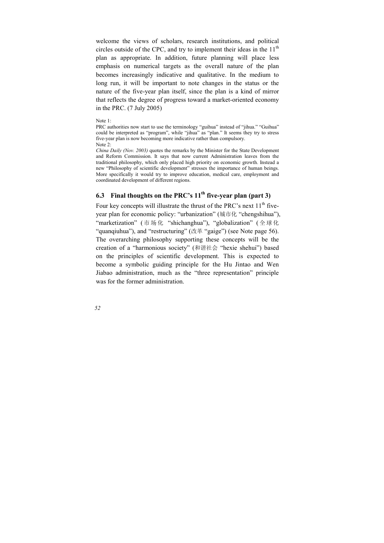welcome the views of scholars, research institutions, and political circles outside of the CPC, and try to implement their ideas in the  $11<sup>th</sup>$ plan as appropriate. In addition, future planning will place less emphasis on numerical targets as the overall nature of the plan becomes increasingly indicative and qualitative. In the medium to long run, it will be important to note changes in the status or the nature of the five-year plan itself, since the plan is a kind of mirror that reflects the degree of progress toward a market-oriented economy in the PRC. (7 July 2005)

Note 1:

PRC authorities now start to use the terminology "guihua" instead of "jihua." "Guihua" could be interpreted as "program", while "jihua" as "plan." It seems they try to stress five-year plan is now becoming more indicative rather than compulsory.

Note 2:

*China Daily (Nov. 2003)* quotes the remarks by the Minister for the State Development and Reform Commission. It says that now current Administration leaves from the traditional philosophy, which only placed high priority on economic growth. Instead a new "Philosophy of scientific development" stresses the importance of human beings. More specifically it would try to improve education, medical care, employment and coordinated development of different regions.

## **6.3** Final thoughts on the PRC's  $11<sup>th</sup>$  five-year plan (part 3)

Four key concepts will illustrate the thrust of the PRC's next  $11<sup>th</sup>$  fiveyear plan for economic policy: "urbanization" (城市化 "chengshihua"), "marketization" ( 市场化 "shichanghua"), "globalization" ( 全球化 "quanqiuhua"), and "restructuring" (改革 "gaige") (see Note page 56). The overarching philosophy supporting these concepts will be the creation of a "harmonious society" (和谐社会 "hexie shehui") based on the principles of scientific development. This is expected to become a symbolic guiding principle for the Hu Jintao and Wen Jiabao administration, much as the "three representation" principle was for the former administration.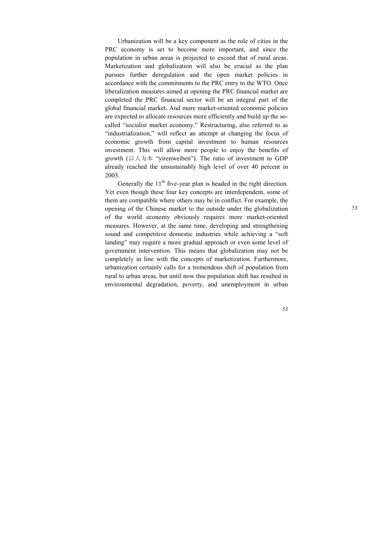Urbanization will be a key component as the role of cities in the PRC economy is set to become more important, and since the population in urban areas is projected to exceed that of rural areas. Marketization and globalization will also be crucial as the plan pursues further deregulation and the open market policies in accordance with the commitments to the PRC entry to the WTO. Once liberalization measures aimed at opening the PRC financial market are completed the PRC financial sector will be an integral part of the global financial market. And more market-oriented economic policies are expected to allocate resources more efficiently and build up the socalled "socialist market economy." Restructuring, also referred to as "industrialization," will reflect an attempt at changing the focus of economic growth from capital investment to human resources investment. This will allow more people to enjoy the benefits of growth (以人为本 "yirenweiben"). The ratio of investment to GDP already reached the unsustainably high level of over 40 percent in 2003.

Generally the  $11<sup>th</sup>$  five-year plan is headed in the right direction. Yet even though these four key concepts are interdependent, some of them are compatible where others may be in conflict. For example, the opening of the Chinese market to the outside under the globalization of the world economy obviously requires more market-oriented measures. However, at the same time, developing and strengthening sound and competitive domestic industries while achieving a "soft landing" may require a more gradual approach or even some level of government intervention. This means that globalization may not be completely in line with the concepts of marketization. Furthermore, urbanization certainly calls for a tremendous shift of population from rural to urban areas, but until now this population shift has resulted in environmental degradation, poverty, and unemployment in urban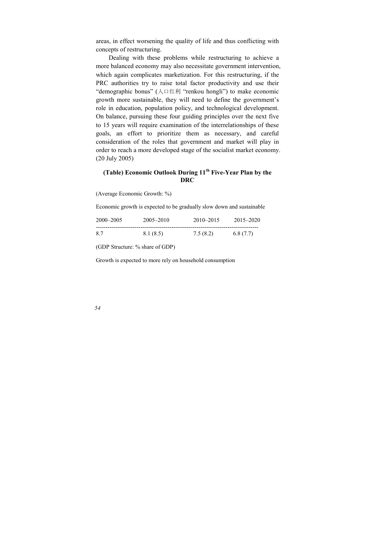areas, in effect worsening the quality of life and thus conflicting with concepts of restructuring.

Dealing with these problems while restructuring to achieve a more balanced economy may also necessitate government intervention, which again complicates marketization. For this restructuring, if the PRC authorities try to raise total factor productivity and use their "demographic bonus" (人口红利 "renkou hongli") to make economic growth more sustainable, they will need to define the government's role in education, population policy, and technological development. On balance, pursuing these four guiding principles over the next five to 15 years will require examination of the interrelationships of these goals, an effort to prioritize them as necessary, and careful consideration of the roles that government and market will play in order to reach a more developed stage of the socialist market economy. (20 July 2005)

## **(Table) Economic Outlook During 11th Five-Year Plan by the DRC**

(Average Economic Growth: %)

Economic growth is expected to be gradually slow down and sustainable

| 2000–2005 | 2005–2010 | $2010 - 2015$ | $2015 - 2020$ |
|-----------|-----------|---------------|---------------|
| 8.7       | 8.1 (8.5) | 7.5(8.2)      | 6.8(7.7)      |

(GDP Structure: % share of GDP)

Growth is expected to more rely on household consumption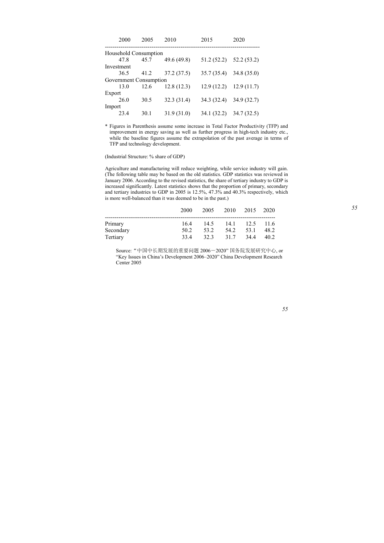| 2000                   | 2005 | 2010        | 2015       | 2020                      |
|------------------------|------|-------------|------------|---------------------------|
| Household Consumption  |      |             |            |                           |
| 47.8                   | 45.7 | 49.6 (49.8) |            | $51.2(52.2)$ $52.2(53.2)$ |
| Investment             |      |             |            |                           |
| 36.5                   | 41.2 | 37.2 (37.5) |            | $35.7(35.4)$ $34.8(35.0)$ |
| Government Consumption |      |             |            |                           |
| 13.0                   | 12.6 | 12.8(12.3)  | 12.9(12.2) | 12.9(11.7)                |
| Export                 |      |             |            |                           |
| 26.0                   | 30.5 | 32.3 (31.4) |            | 34.3 (32.4) 34.9 (32.7)   |
| Import                 |      |             |            |                           |
| 23.4                   | 30.1 | 31.9 (31.0) |            | 34.1 (32.2) 34.7 (32.5)   |

\* Figures in Parenthesis assume some increase in Total Factor Productivity (TFP) and improvement in energy saving as well as further progress in high-tech industry etc., while the baseline figures assume the extrapolation of the past average in terms of TFP and technology development.

(Industrial Structure: % share of GDP)

Agriculture and manufacturing will reduce weighting, while service industry will gain. (The following table may be based on the old statistics. GDP statistics was reviewed in January 2006. According to the revised statistics, the share of tertiary industry to GDP is increased significantly. Latest statistics shows that the proportion of primary, secondary and tertiary industries to GDP in 2005 is 12.5%, 47.3% and 40.3% respectively, which is more well-balanced than it was deemed to be in the past.)

|           | 2000            | 2005 | 2010 | 2015 2020 |      |
|-----------|-----------------|------|------|-----------|------|
| Primary   | 164             | 14.5 | 14.1 | 12.5 11.6 |      |
| Secondary | 50 <sub>2</sub> | 53.2 | 54 2 | 53.1      | 48.2 |
| Tertiary  | 334             | 32.3 | 317  | 344       | 40.2 |

Source:"中国中长期发展的重要问题 2006―2020" 国务院发展研究中心, or "Key Issues in China's Development 2006–2020" China Development Research Center 2005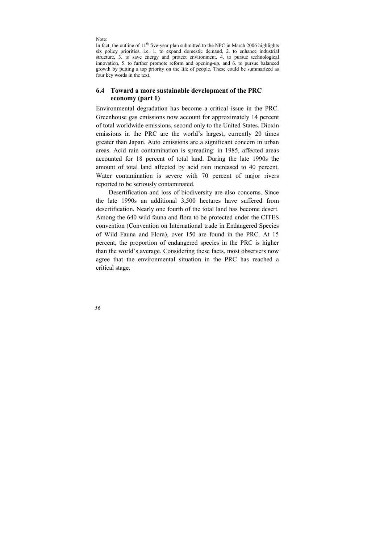Note:

In fact, the outline of  $11<sup>th</sup>$  five-year plan submitted to the NPC in March 2006 highlights six policy priorities, i.e. 1. to expand domestic demand, 2. to enhance industrial structure, 3. to save energy and protect environment, 4. to pursue technological innovation, 5, to further promote reform and opening-up, and  $\vec{6}$ , to pursue balanced growth by putting a top priority on the life of people. These could be summarized as four key words in the text.

## **6.4 Toward a more sustainable development of the PRC economy (part 1)**

Environmental degradation has become a critical issue in the PRC. Greenhouse gas emissions now account for approximately 14 percent of total worldwide emissions, second only to the United States. Dioxin emissions in the PRC are the world's largest, currently 20 times greater than Japan. Auto emissions are a significant concern in urban areas. Acid rain contamination is spreading: in 1985, affected areas accounted for 18 percent of total land. During the late 1990s the amount of total land affected by acid rain increased to 40 percent. Water contamination is severe with 70 percent of major rivers reported to be seriously contaminated.

Desertification and loss of biodiversity are also concerns. Since the late 1990s an additional 3,500 hectares have suffered from desertification. Nearly one fourth of the total land has become desert. Among the 640 wild fauna and flora to be protected under the CITES convention (Convention on International trade in Endangered Species of Wild Fauna and Flora), over 150 are found in the PRC. At 15 percent, the proportion of endangered species in the PRC is higher than the world's average. Considering these facts, most observers now agree that the environmental situation in the PRC has reached a critical stage.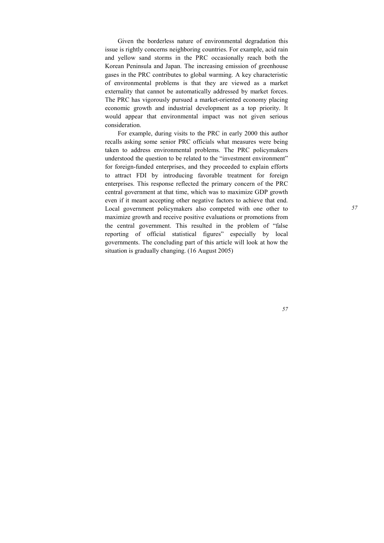Given the borderless nature of environmental degradation this issue is rightly concerns neighboring countries. For example, acid rain and yellow sand storms in the PRC occasionally reach both the Korean Peninsula and Japan. The increasing emission of greenhouse gases in the PRC contributes to global warming. A key characteristic of environmental problems is that they are viewed as a market externality that cannot be automatically addressed by market forces. The PRC has vigorously pursued a market-oriented economy placing economic growth and industrial development as a top priority. It would appear that environmental impact was not given serious consideration.

For example, during visits to the PRC in early 2000 this author recalls asking some senior PRC officials what measures were being taken to address environmental problems. The PRC policymakers understood the question to be related to the "investment environment" for foreign-funded enterprises, and they proceeded to explain efforts to attract FDI by introducing favorable treatment for foreign enterprises. This response reflected the primary concern of the PRC central government at that time, which was to maximize GDP growth even if it meant accepting other negative factors to achieve that end. Local government policymakers also competed with one other to maximize growth and receive positive evaluations or promotions from the central government. This resulted in the problem of "false reporting of official statistical figures" especially by local governments. The concluding part of this article will look at how the situation is gradually changing. (16 August 2005)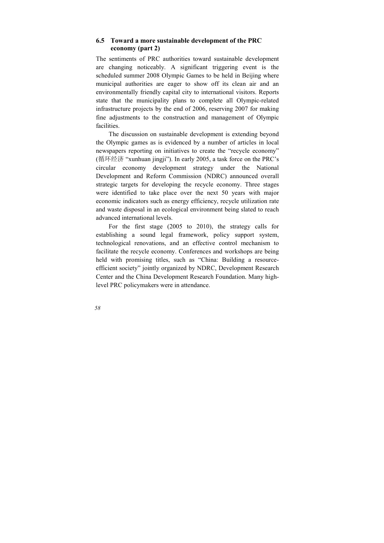## **6.5 Toward a more sustainable development of the PRC economy (part 2)**

The sentiments of PRC authorities toward sustainable development are changing noticeably. A significant triggering event is the scheduled summer 2008 Olympic Games to be held in Beijing where municipal authorities are eager to show off its clean air and an environmentally friendly capital city to international visitors. Reports state that the municipality plans to complete all Olympic-related infrastructure projects by the end of 2006, reserving 2007 for making fine adjustments to the construction and management of Olympic facilities.

The discussion on sustainable development is extending beyond the Olympic games as is evidenced by a number of articles in local newspapers reporting on initiatives to create the "recycle economy" (循环经济 "xunhuan jingji"). In early 2005, a task force on the PRC's circular economy development strategy under the National Development and Reform Commission (NDRC) announced overall strategic targets for developing the recycle economy. Three stages were identified to take place over the next 50 years with major economic indicators such as energy efficiency, recycle utilization rate and waste disposal in an ecological environment being slated to reach advanced international levels.

For the first stage (2005 to 2010), the strategy calls for establishing a sound legal framework, policy support system, technological renovations, and an effective control mechanism to facilitate the recycle economy. Conferences and workshops are being held with promising titles, such as "China: Building a resourceefficient society" jointly organized by NDRC, Development Research Center and the China Development Research Foundation. Many highlevel PRC policymakers were in attendance.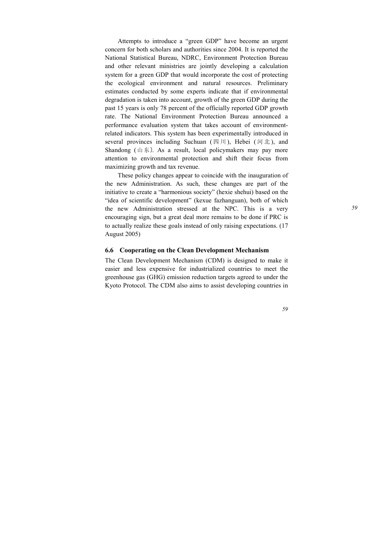Attempts to introduce a "green GDP" have become an urgent concern for both scholars and authorities since 2004. It is reported the National Statistical Bureau, NDRC, Environment Protection Bureau and other relevant ministries are jointly developing a calculation system for a green GDP that would incorporate the cost of protecting the ecological environment and natural resources. Preliminary estimates conducted by some experts indicate that if environmental degradation is taken into account, growth of the green GDP during the past 15 years is only 78 percent of the officially reported GDP growth rate. The National Environment Protection Bureau announced a performance evaluation system that takes account of environmentrelated indicators. This system has been experimentally introduced in several provinces including Suchuan (四川), Hebei (河北), and Shandong  $(山 \n$)$ . As a result, local policymakers may pay more attention to environmental protection and shift their focus from maximizing growth and tax revenue.

These policy changes appear to coincide with the inauguration of the new Administration. As such, these changes are part of the initiative to create a "harmonious society" (hexie shehui) based on the "idea of scientific development" (kexue fazhanguan), both of which the new Administration stressed at the NPC. This is a very encouraging sign, but a great deal more remains to be done if PRC is to actually realize these goals instead of only raising expectations. (17 August 2005)

### **6.6 Cooperating on the Clean Development Mechanism**

The Clean Development Mechanism (CDM) is designed to make it easier and less expensive for industrialized countries to meet the greenhouse gas (GHG) emission reduction targets agreed to under the Kyoto Protocol. The CDM also aims to assist developing countries in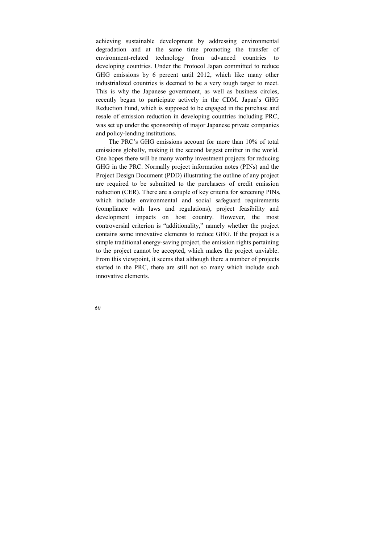achieving sustainable development by addressing environmental degradation and at the same time promoting the transfer of environment-related technology from advanced countries to developing countries. Under the Protocol Japan committed to reduce GHG emissions by 6 percent until 2012, which like many other industrialized countries is deemed to be a very tough target to meet. This is why the Japanese government, as well as business circles, recently began to participate actively in the CDM. Japan's GHG Reduction Fund, which is supposed to be engaged in the purchase and resale of emission reduction in developing countries including PRC, was set up under the sponsorship of major Japanese private companies and policy-lending institutions.

The PRC's GHG emissions account for more than 10% of total emissions globally, making it the second largest emitter in the world. One hopes there will be many worthy investment projects for reducing GHG in the PRC. Normally project information notes (PINs) and the Project Design Document (PDD) illustrating the outline of any project are required to be submitted to the purchasers of credit emission reduction (CER). There are a couple of key criteria for screening PINs, which include environmental and social safeguard requirements (compliance with laws and regulations), project feasibility and development impacts on host country. However, the most controversial criterion is "additionality," namely whether the project contains some innovative elements to reduce GHG. If the project is a simple traditional energy-saving project, the emission rights pertaining to the project cannot be accepted, which makes the project unviable. From this viewpoint, it seems that although there a number of projects started in the PRC, there are still not so many which include such innovative elements.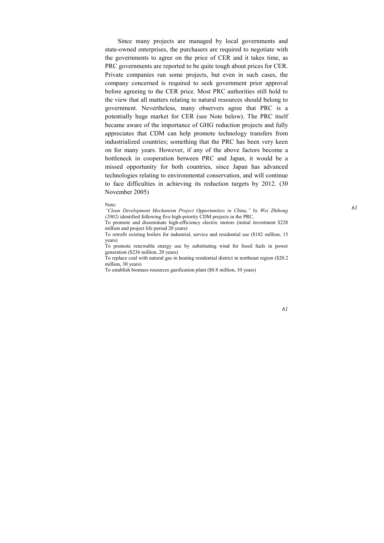Since many projects are managed by local governments and state-owned enterprises, the purchasers are required to negotiate with the governments to agree on the price of CER and it takes time, as PRC governments are reported to be quite tough about prices for CER. Private companies run some projects, but even in such cases, the company concerned is required to seek government prior approval before agreeing to the CER price. Most PRC authorities still hold to the view that all matters relating to natural resources should belong to government. Nevertheless, many observers agree that PRC is a potentially huge market for CER (see Note below). The PRC itself became aware of the importance of GHG reduction projects and fully appreciates that CDM can help promote technology transfers from industrialized countries; something that the PRC has been very keen on for many years. However, if any of the above factors become a bottleneck in cooperation between PRC and Japan, it would be a missed opportunity for both countries, since Japan has advanced technologies relating to environmental conservation, and will continue to face difficulties in achieving its reduction targets by 2012. (30 November 2005)

Note:

*"Clean Development Mechanism Project Opportunities in China," by Wei Zhihong (2002)* identified following five high-priority CDM projects in the PRC.

To promote and disseminate high-efficiency electric motors (initial investment \$228 million and project life period 20 years)

To retrofit existing boilers for industrial, service and residential use (\$182 million, 15 years)

To promote renewable energy use by substituting wind for fossil fuels in power generation (\$236 million, 20 years)

To replace coal with natural gas in heating residential district in northeast region (\$20.2 million, 30 years)

To establish biomass resources gasification plant (\$0.8 million, 10 years)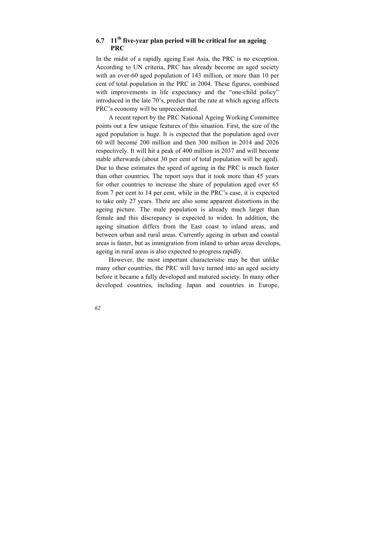## **6.7 11th five-year plan period will be critical for an ageing PRC**

In the midst of a rapidly ageing East Asia, the PRC is no exception. According to UN criteria, PRC has already become an aged society with an over-60 aged population of 143 million, or more than 10 per cent of total population in the PRC in 2004. These figures, combined with improvements in life expectancy and the "one-child policy" introduced in the late 70's, predict that the rate at which ageing affects PRC's economy will be unprecedented.

A recent report by the PRC National Ageing Working Committee points out a few unique features of this situation. First, the size of the aged population is huge. It is expected that the population aged over 60 will become 200 million and then 300 million in 2014 and 2026 respectively. It will hit a peak of 400 million in 2037 and will become stable afterwards (about 30 per cent of total population will be aged). Due to these estimates the speed of ageing in the PRC is much faster than other countries. The report says that it took more than 45 years for other countries to increase the share of population aged over 65 from 7 per cent to 14 per cent, while in the PRC's case, it is expected to take only 27 years. There are also some apparent distortions in the ageing picture. The male population is already much larger than female and this discrepancy is expected to widen. In addition, the ageing situation differs from the East coast to inland areas, and between urban and rural areas. Currently ageing in urban and coastal areas is faster, but as immigration from inland to urban areas develops, ageing in rural areas is also expected to progress rapidly.

However, the most important characteristic may be that unlike many other countries, the PRC will have turned into an aged society before it became a fully developed and matured society. In many other developed countries, including Japan and countries in Europe,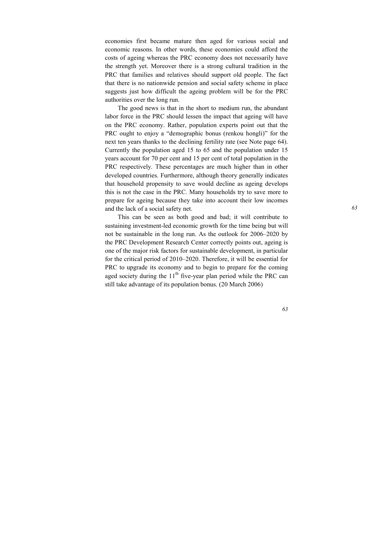economies first became mature then aged for various social and economic reasons. In other words, these economies could afford the costs of ageing whereas the PRC economy does not necessarily have the strength yet. Moreover there is a strong cultural tradition in the PRC that families and relatives should support old people. The fact that there is no nationwide pension and social safety scheme in place suggests just how difficult the ageing problem will be for the PRC authorities over the long run.

The good news is that in the short to medium run, the abundant labor force in the PRC should lessen the impact that ageing will have on the PRC economy. Rather, population experts point out that the PRC ought to enjoy a "demographic bonus (renkou hongli)" for the next ten years thanks to the declining fertility rate (see Note page 64). Currently the population aged 15 to 65 and the population under 15 years account for 70 per cent and 15 per cent of total population in the PRC respectively. These percentages are much higher than in other developed countries. Furthermore, although theory generally indicates that household propensity to save would decline as ageing develops this is not the case in the PRC. Many households try to save more to prepare for ageing because they take into account their low incomes and the lack of a social safety net.

This can be seen as both good and bad; it will contribute to sustaining investment-led economic growth for the time being but will not be sustainable in the long run. As the outlook for 2006–2020 by the PRC Development Research Center correctly points out, ageing is one of the major risk factors for sustainable development, in particular for the critical period of 2010–2020. Therefore, it will be essential for PRC to upgrade its economy and to begin to prepare for the coming aged society during the  $11<sup>th</sup>$  five-year plan period while the PRC can still take advantage of its population bonus. (20 March 2006)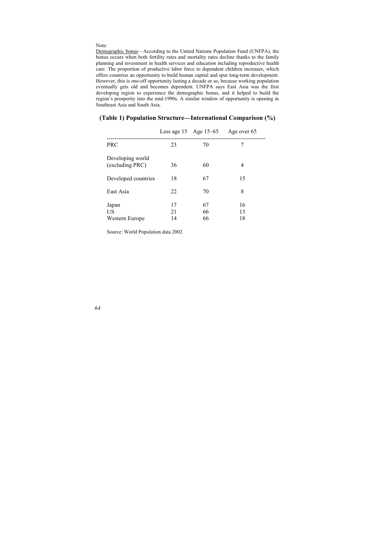#### Note:

Demographic bonus—According to the United Nations Population Fund (UNFPA), the bonus occurs when both fertility rates and mortality rates decline thanks to the family planning and investment in health services and education including reproductive health care. The proportion of productive labor force to dependent children increases, which offers countries an opportunity to build human capital and spur long-term development. However, this is one-off opportunity lasting a decade or so, because working population eventually gets old and becomes dependent. UNFPA says East Asia was the first developing region to experience the demographic bonus, and it helped to build the region's prosperity into the mid-1990s. A similar window of opportunity is opening in Southeast Asia and South Asia.

|                                     | Less age $15$ Age $15-65$ |                | Age over 65    |
|-------------------------------------|---------------------------|----------------|----------------|
| <b>PRC</b>                          | 23                        | 70             | 7              |
| Developing world<br>(excluding PRC) | 36                        | 60             | 4              |
| Developed countries                 | 18                        | 67             | 15             |
| East Asia                           | 22                        | 70             | 8              |
| Japan<br>US<br>Western Europe       | 17<br>21<br>14            | 67<br>66<br>66 | 16<br>13<br>18 |

#### **(Table 1) Population Structure—International Comparison (%)**

Source: World Population data 2002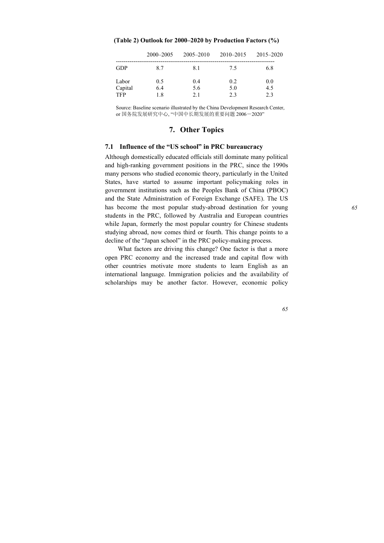|            | $2000 - 2005$ | $2005 - 2010$ | 2010-2015 | 2015-2020 |
|------------|---------------|---------------|-----------|-----------|
| <b>GDP</b> | 87            | 81            | 75        | 6.8       |
| Labor      | 0.5           | 0.4           | 0.2       | 0.0       |
| Capital    | 6.4           | 5.6           | 5.0       | 4.5       |
| <b>TFP</b> | 1.8           | 2.1           | 2.3       | 23        |

**(Table 2) Outlook for 2000–2020 by Production Factors (%)** 

Source: Baseline scenario illustrated by the China Development Research Center, or 国务院发展研究中心, "中国中长期发展的重要问题 2006―2020"

## **7. Other Topics**

### **7.1 Influence of the "US school" in PRC bureaucracy**

Although domestically educated officials still dominate many political and high-ranking government positions in the PRC, since the 1990s many persons who studied economic theory, particularly in the United States, have started to assume important policymaking roles in government institutions such as the Peoples Bank of China (PBOC) and the State Administration of Foreign Exchange (SAFE). The US has become the most popular study-abroad destination for young students in the PRC, followed by Australia and European countries while Japan, formerly the most popular country for Chinese students studying abroad, now comes third or fourth. This change points to a decline of the "Japan school" in the PRC policy-making process.

What factors are driving this change? One factor is that a more open PRC economy and the increased trade and capital flow with other countries motivate more students to learn English as an international language. Immigration policies and the availability of scholarships may be another factor. However, economic policy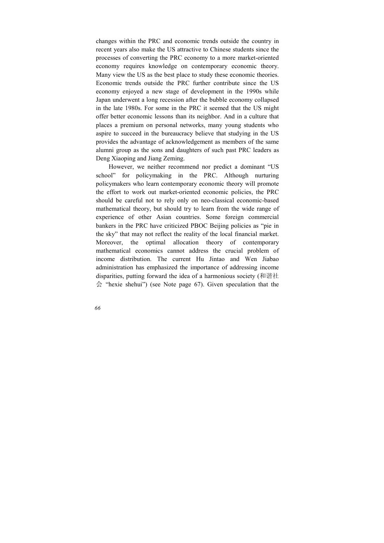changes within the PRC and economic trends outside the country in recent years also make the US attractive to Chinese students since the processes of converting the PRC economy to a more market-oriented economy requires knowledge on contemporary economic theory. Many view the US as the best place to study these economic theories. Economic trends outside the PRC further contribute since the US economy enjoyed a new stage of development in the 1990s while Japan underwent a long recession after the bubble economy collapsed in the late 1980s. For some in the PRC it seemed that the US might offer better economic lessons than its neighbor. And in a culture that places a premium on personal networks, many young students who aspire to succeed in the bureaucracy believe that studying in the US provides the advantage of acknowledgement as members of the same alumni group as the sons and daughters of such past PRC leaders as Deng Xiaoping and Jiang Zeming.

However, we neither recommend nor predict a dominant "US school" for policymaking in the PRC. Although nurturing policymakers who learn contemporary economic theory will promote the effort to work out market-oriented economic policies, the PRC should be careful not to rely only on neo-classical economic-based mathematical theory, but should try to learn from the wide range of experience of other Asian countries. Some foreign commercial bankers in the PRC have criticized PBOC Beijing policies as "pie in the sky" that may not reflect the reality of the local financial market. Moreover, the optimal allocation theory of contemporary mathematical economics cannot address the crucial problem of income distribution. The current Hu Jintao and Wen Jiabao administration has emphasized the importance of addressing income disparities, putting forward the idea of a harmonious society (和谐社 会 "hexie shehui") (see Note page 67). Given speculation that the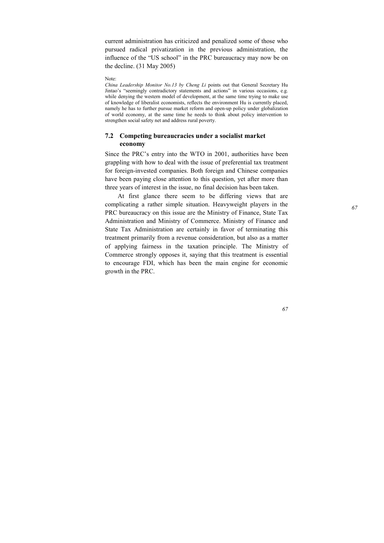current administration has criticized and penalized some of those who pursued radical privatization in the previous administration, the influence of the "US school" in the PRC bureaucracy may now be on the decline. (31 May 2005)

Note:

*China Leadership Monitor No.13 by Cheng Li* points out that General Secretary Hu Jintao's "seemingly contradictory statements and actions" in various occasions, e.g. while denying the western model of development, at the same time trying to make use of knowledge of liberalist economists, reflects the environment Hu is currently placed, namely he has to further pursue market reform and open-up policy under globalization of world economy, at the same time he needs to think about policy intervention to strengthen social safety net and address rural poverty.

## **7.2 Competing bureaucracies under a socialist market economy**

Since the PRC's entry into the WTO in 2001, authorities have been grappling with how to deal with the issue of preferential tax treatment for foreign-invested companies. Both foreign and Chinese companies have been paying close attention to this question, yet after more than three years of interest in the issue, no final decision has been taken.

At first glance there seem to be differing views that are complicating a rather simple situation. Heavyweight players in the PRC bureaucracy on this issue are the Ministry of Finance, State Tax Administration and Ministry of Commerce. Ministry of Finance and State Tax Administration are certainly in favor of terminating this treatment primarily from a revenue consideration, but also as a matter of applying fairness in the taxation principle. The Ministry of Commerce strongly opposes it, saying that this treatment is essential to encourage FDI, which has been the main engine for economic growth in the PRC.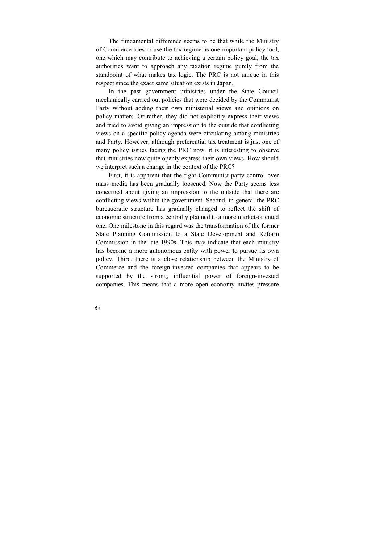The fundamental difference seems to be that while the Ministry of Commerce tries to use the tax regime as one important policy tool, one which may contribute to achieving a certain policy goal, the tax authorities want to approach any taxation regime purely from the standpoint of what makes tax logic. The PRC is not unique in this respect since the exact same situation exists in Japan.

In the past government ministries under the State Council mechanically carried out policies that were decided by the Communist Party without adding their own ministerial views and opinions on policy matters. Or rather, they did not explicitly express their views and tried to avoid giving an impression to the outside that conflicting views on a specific policy agenda were circulating among ministries and Party. However, although preferential tax treatment is just one of many policy issues facing the PRC now, it is interesting to observe that ministries now quite openly express their own views. How should we interpret such a change in the context of the PRC?

First, it is apparent that the tight Communist party control over mass media has been gradually loosened. Now the Party seems less concerned about giving an impression to the outside that there are conflicting views within the government. Second, in general the PRC bureaucratic structure has gradually changed to reflect the shift of economic structure from a centrally planned to a more market-oriented one. One milestone in this regard was the transformation of the former State Planning Commission to a State Development and Reform Commission in the late 1990s. This may indicate that each ministry has become a more autonomous entity with power to pursue its own policy. Third, there is a close relationship between the Ministry of Commerce and the foreign-invested companies that appears to be supported by the strong, influential power of foreign-invested companies. This means that a more open economy invites pressure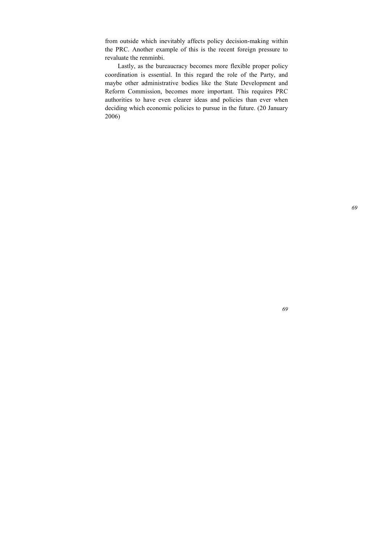from outside which inevitably affects policy decision-making within the PRC. Another example of this is the recent foreign pressure to revaluate the renminbi.

Lastly, as the bureaucracy becomes more flexible proper policy coordination is essential. In this regard the role of the Party, and maybe other administrative bodies like the State Development and Reform Commission, becomes more important. This requires PRC authorities to have even clearer ideas and policies than ever when deciding which economic policies to pursue in the future. (20 January 2006)